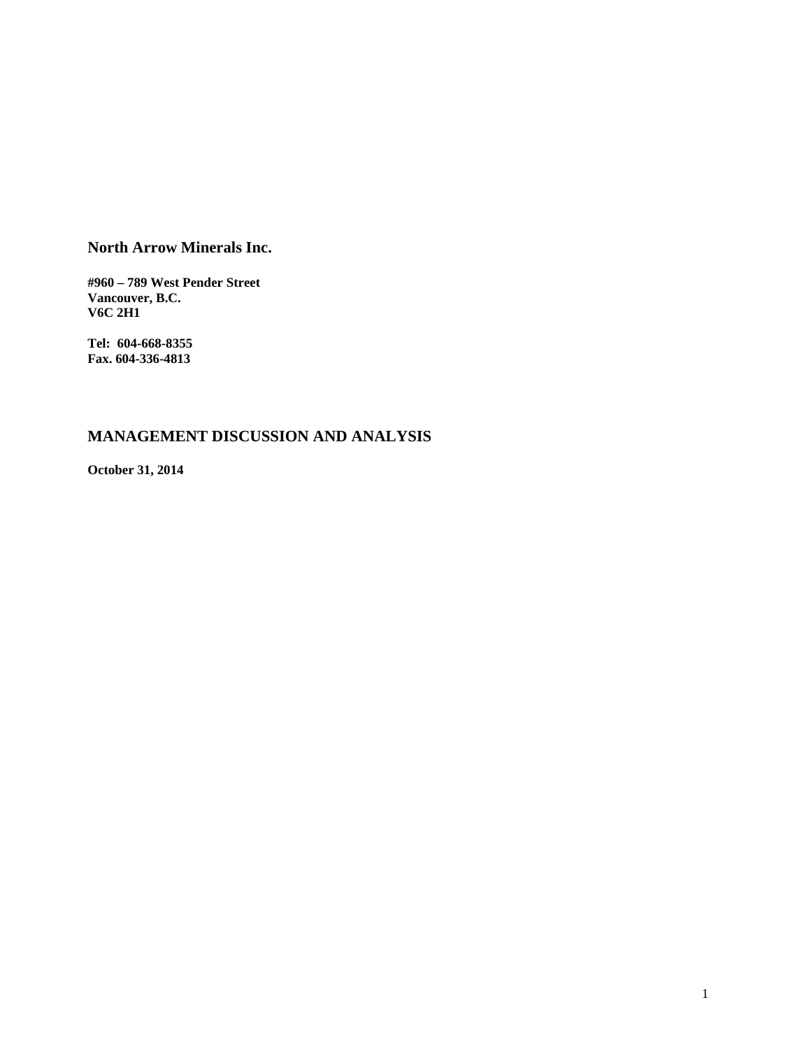# **North Arrow Minerals Inc.**

**#960 – 789 West Pender Street Vancouver, B.C. V6C 2H1** 

**Tel: 604-668-8355 Fax. 604-336-4813** 

# **MANAGEMENT DISCUSSION AND ANALYSIS**

**October 31, 2014**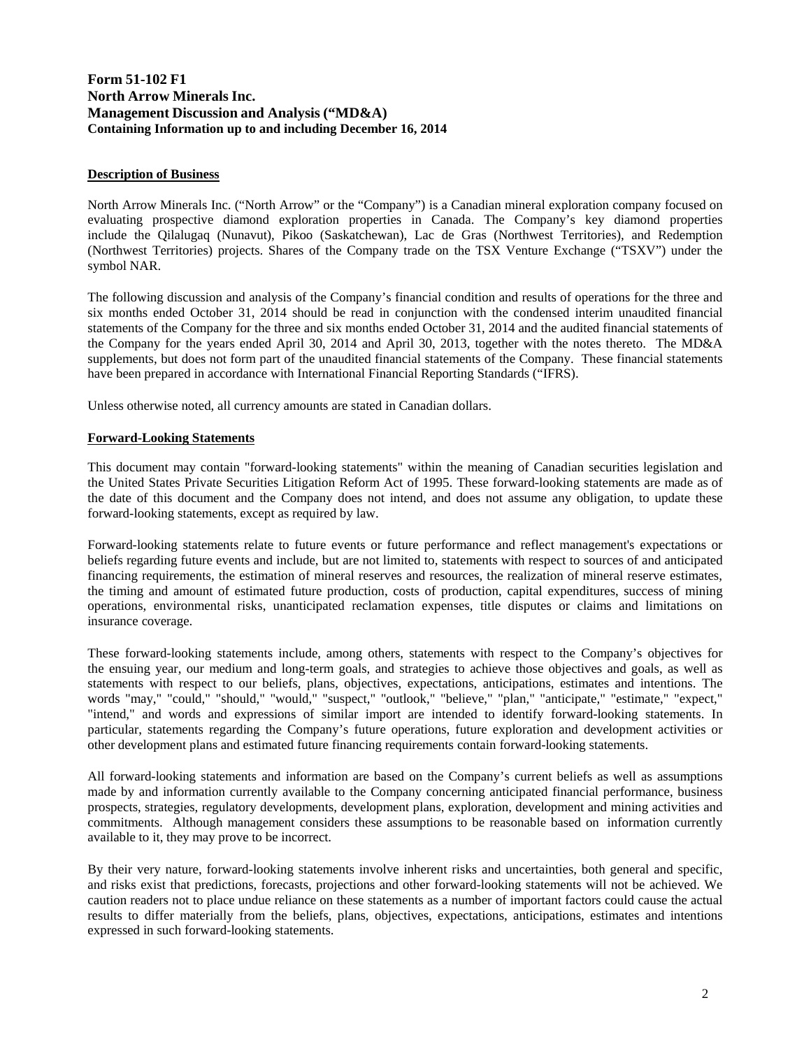# **Form 51-102 F1 North Arrow Minerals Inc. Management Discussion and Analysis ("MD&A) Containing Information up to and including December 16, 2014**

# **Description of Business**

North Arrow Minerals Inc. ("North Arrow" or the "Company") is a Canadian mineral exploration company focused on evaluating prospective diamond exploration properties in Canada. The Company's key diamond properties include the Qilalugaq (Nunavut), Pikoo (Saskatchewan), Lac de Gras (Northwest Territories), and Redemption (Northwest Territories) projects. Shares of the Company trade on the TSX Venture Exchange ("TSXV") under the symbol NAR.

The following discussion and analysis of the Company's financial condition and results of operations for the three and six months ended October 31, 2014 should be read in conjunction with the condensed interim unaudited financial statements of the Company for the three and six months ended October 31, 2014 and the audited financial statements of the Company for the years ended April 30, 2014 and April 30, 2013, together with the notes thereto. The MD&A supplements, but does not form part of the unaudited financial statements of the Company. These financial statements have been prepared in accordance with International Financial Reporting Standards ("IFRS).

Unless otherwise noted, all currency amounts are stated in Canadian dollars.

# **Forward-Looking Statements**

This document may contain "forward-looking statements" within the meaning of Canadian securities legislation and the United States Private Securities Litigation Reform Act of 1995. These forward-looking statements are made as of the date of this document and the Company does not intend, and does not assume any obligation, to update these forward-looking statements, except as required by law.

Forward-looking statements relate to future events or future performance and reflect management's expectations or beliefs regarding future events and include, but are not limited to, statements with respect to sources of and anticipated financing requirements, the estimation of mineral reserves and resources, the realization of mineral reserve estimates, the timing and amount of estimated future production, costs of production, capital expenditures, success of mining operations, environmental risks, unanticipated reclamation expenses, title disputes or claims and limitations on insurance coverage.

These forward-looking statements include, among others, statements with respect to the Company's objectives for the ensuing year, our medium and long-term goals, and strategies to achieve those objectives and goals, as well as statements with respect to our beliefs, plans, objectives, expectations, anticipations, estimates and intentions. The words "may," "could," "should," "would," "suspect," "outlook," "believe," "plan," "anticipate," "estimate," "expect," "intend," and words and expressions of similar import are intended to identify forward-looking statements. In particular, statements regarding the Company's future operations, future exploration and development activities or other development plans and estimated future financing requirements contain forward-looking statements.

All forward-looking statements and information are based on the Company's current beliefs as well as assumptions made by and information currently available to the Company concerning anticipated financial performance, business prospects, strategies, regulatory developments, development plans, exploration, development and mining activities and commitments. Although management considers these assumptions to be reasonable based on information currently available to it, they may prove to be incorrect.

By their very nature, forward-looking statements involve inherent risks and uncertainties, both general and specific, and risks exist that predictions, forecasts, projections and other forward-looking statements will not be achieved. We caution readers not to place undue reliance on these statements as a number of important factors could cause the actual results to differ materially from the beliefs, plans, objectives, expectations, anticipations, estimates and intentions expressed in such forward-looking statements.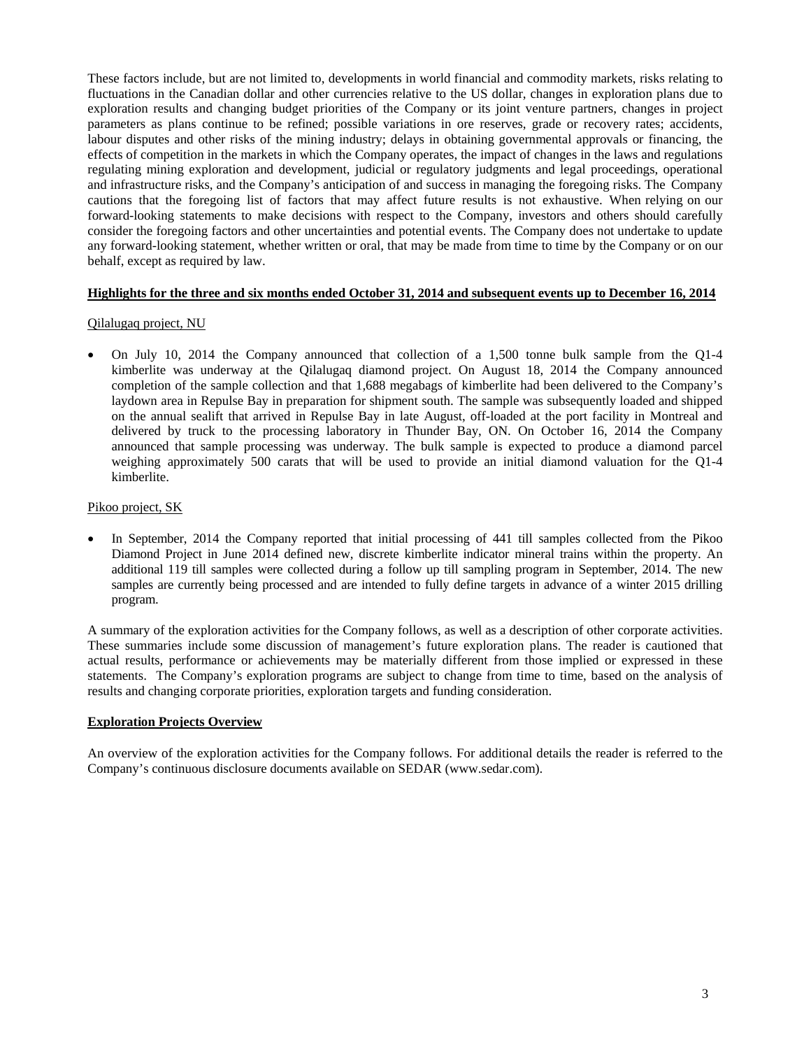These factors include, but are not limited to, developments in world financial and commodity markets, risks relating to fluctuations in the Canadian dollar and other currencies relative to the US dollar, changes in exploration plans due to exploration results and changing budget priorities of the Company or its joint venture partners, changes in project parameters as plans continue to be refined; possible variations in ore reserves, grade or recovery rates; accidents, labour disputes and other risks of the mining industry; delays in obtaining governmental approvals or financing, the effects of competition in the markets in which the Company operates, the impact of changes in the laws and regulations regulating mining exploration and development, judicial or regulatory judgments and legal proceedings, operational and infrastructure risks, and the Company's anticipation of and success in managing the foregoing risks. The Company cautions that the foregoing list of factors that may affect future results is not exhaustive. When relying on our forward-looking statements to make decisions with respect to the Company, investors and others should carefully consider the foregoing factors and other uncertainties and potential events. The Company does not undertake to update any forward-looking statement, whether written or oral, that may be made from time to time by the Company or on our behalf, except as required by law.

# **Highlights for the three and six months ended October 31, 2014 and subsequent events up to December 16, 2014**

# Qilalugaq project, NU

 On July 10, 2014 the Company announced that collection of a 1,500 tonne bulk sample from the Q1-4 kimberlite was underway at the Qilalugaq diamond project. On August 18, 2014 the Company announced completion of the sample collection and that 1,688 megabags of kimberlite had been delivered to the Company's laydown area in Repulse Bay in preparation for shipment south. The sample was subsequently loaded and shipped on the annual sealift that arrived in Repulse Bay in late August, off-loaded at the port facility in Montreal and delivered by truck to the processing laboratory in Thunder Bay, ON. On October 16, 2014 the Company announced that sample processing was underway. The bulk sample is expected to produce a diamond parcel weighing approximately 500 carats that will be used to provide an initial diamond valuation for the Q1-4 kimberlite.

#### Pikoo project, SK

 In September, 2014 the Company reported that initial processing of 441 till samples collected from the Pikoo Diamond Project in June 2014 defined new, discrete kimberlite indicator mineral trains within the property. An additional 119 till samples were collected during a follow up till sampling program in September, 2014. The new samples are currently being processed and are intended to fully define targets in advance of a winter 2015 drilling program.

A summary of the exploration activities for the Company follows, as well as a description of other corporate activities. These summaries include some discussion of management's future exploration plans. The reader is cautioned that actual results, performance or achievements may be materially different from those implied or expressed in these statements. The Company's exploration programs are subject to change from time to time, based on the analysis of results and changing corporate priorities, exploration targets and funding consideration.

### **Exploration Projects Overview**

An overview of the exploration activities for the Company follows. For additional details the reader is referred to the Company's continuous disclosure documents available on SEDAR (www.sedar.com).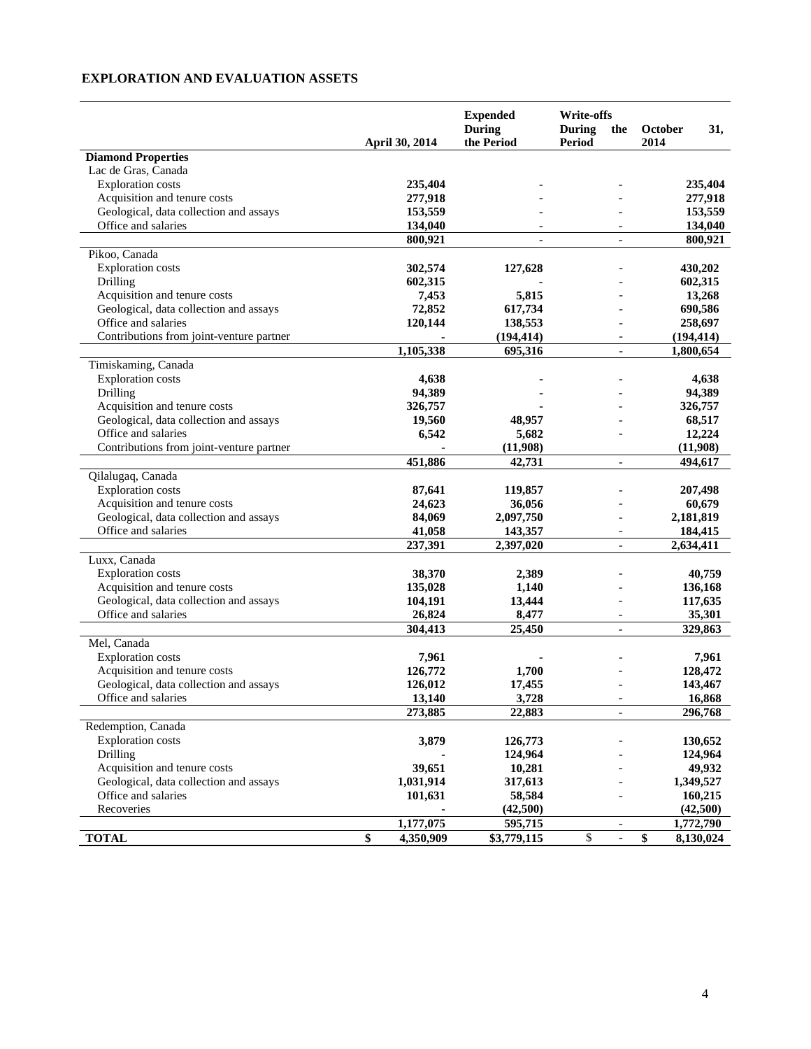# **EXPLORATION AND EVALUATION ASSETS**

|                                          | <b>Expended</b><br><b>During</b> |                | <b>Write-offs</b><br><b>During</b><br>the | October                  | 31,             |            |
|------------------------------------------|----------------------------------|----------------|-------------------------------------------|--------------------------|-----------------|------------|
|                                          |                                  | April 30, 2014 | the Period                                | Period                   | 2014            |            |
| <b>Diamond Properties</b>                |                                  |                |                                           |                          |                 |            |
| Lac de Gras, Canada                      |                                  |                |                                           |                          |                 |            |
| <b>Exploration</b> costs                 |                                  | 235,404        |                                           |                          |                 | 235,404    |
| Acquisition and tenure costs             |                                  | 277,918        |                                           |                          |                 | 277,918    |
| Geological, data collection and assays   |                                  | 153,559        |                                           |                          |                 | 153,559    |
| Office and salaries                      |                                  | 134,040        |                                           |                          |                 | 134,040    |
|                                          |                                  | 800,921        | $\overline{\phantom{a}}$                  | $\blacksquare$           |                 | 800,921    |
| Pikoo, Canada                            |                                  |                |                                           |                          |                 |            |
| <b>Exploration</b> costs                 |                                  | 302,574        | 127,628                                   |                          |                 | 430,202    |
| Drilling                                 |                                  | 602,315        |                                           |                          |                 | 602,315    |
| Acquisition and tenure costs             |                                  | 7,453          | 5,815                                     |                          |                 | 13,268     |
| Geological, data collection and assays   |                                  | 72,852         | 617,734                                   |                          |                 | 690,586    |
| Office and salaries                      |                                  | 120,144        | 138,553                                   |                          |                 | 258,697    |
| Contributions from joint-venture partner |                                  |                | (194, 414)                                |                          |                 | (194, 414) |
|                                          |                                  | 1,105,338      | 695,316                                   | $\overline{\phantom{a}}$ |                 | 1,800,654  |
| Timiskaming, Canada                      |                                  |                |                                           |                          |                 |            |
| <b>Exploration</b> costs                 |                                  | 4,638          |                                           |                          |                 | 4,638      |
| Drilling                                 |                                  | 94,389         |                                           |                          |                 | 94,389     |
| Acquisition and tenure costs             |                                  | 326,757        |                                           |                          |                 | 326,757    |
| Geological, data collection and assays   |                                  | 19,560         | 48,957                                    |                          |                 | 68,517     |
| Office and salaries                      |                                  | 6,542          | 5,682                                     |                          |                 | 12,224     |
| Contributions from joint-venture partner |                                  |                | (11,908)                                  |                          |                 | (11,908)   |
|                                          |                                  | 451,886        | 42,731                                    | $\overline{\phantom{a}}$ |                 | 494,617    |
| Qilalugaq, Canada                        |                                  |                |                                           |                          |                 |            |
| <b>Exploration</b> costs                 |                                  | 87,641         | 119,857                                   |                          |                 | 207,498    |
| Acquisition and tenure costs             |                                  | 24,623         | 36,056                                    |                          |                 | 60,679     |
| Geological, data collection and assays   |                                  | 84,069         | 2,097,750                                 |                          |                 | 2,181,819  |
| Office and salaries                      |                                  | 41,058         | 143,357                                   | $\overline{a}$           |                 | 184,415    |
|                                          |                                  | 237,391        | 2,397,020                                 | $\overline{\phantom{a}}$ |                 | 2,634,411  |
| Luxx, Canada                             |                                  |                |                                           |                          |                 |            |
| <b>Exploration</b> costs                 |                                  | 38,370         | 2,389                                     |                          |                 | 40,759     |
| Acquisition and tenure costs             |                                  | 135,028        | 1,140                                     |                          |                 | 136,168    |
| Geological, data collection and assays   |                                  | 104,191        | 13,444                                    |                          |                 | 117,635    |
| Office and salaries                      |                                  | 26,824         | 8,477                                     | $\overline{\phantom{a}}$ |                 | 35,301     |
|                                          |                                  | 304,413        | 25,450                                    | $\overline{\phantom{a}}$ |                 | 329,863    |
| Mel, Canada                              |                                  |                |                                           |                          |                 |            |
| <b>Exploration</b> costs                 |                                  | 7,961          |                                           |                          |                 | 7,961      |
| Acquisition and tenure costs             |                                  | 126,772        | 1,700                                     |                          |                 | 128,472    |
| Geological, data collection and assays   |                                  | 126,012        | 17,455                                    |                          |                 | 143,467    |
| Office and salaries                      |                                  | 13,140         | 3,728                                     |                          |                 | 16,868     |
|                                          |                                  | 273,885        | 22,883                                    |                          |                 | 296,768    |
| Redemption, Canada                       |                                  |                |                                           |                          |                 |            |
| <b>Exploration</b> costs                 |                                  | 3,879          | 126,773                                   |                          |                 | 130,652    |
| Drilling                                 |                                  |                | 124,964                                   |                          |                 | 124,964    |
| Acquisition and tenure costs             |                                  | 39,651         | 10,281                                    |                          |                 | 49,932     |
| Geological, data collection and assays   |                                  | 1,031,914      | 317,613                                   |                          |                 | 1,349,527  |
| Office and salaries                      |                                  | 101,631        | 58,584                                    |                          |                 | 160,215    |
| Recoveries                               |                                  |                | (42,500)                                  |                          |                 | (42,500)   |
|                                          |                                  | 1,177,075      | 595,715                                   | $\overline{\phantom{a}}$ |                 | 1,772,790  |
| <b>TOTAL</b>                             | \$                               | 4,350,909      | \$3,779,115                               | \$                       | $\overline{\$}$ | 8,130,024  |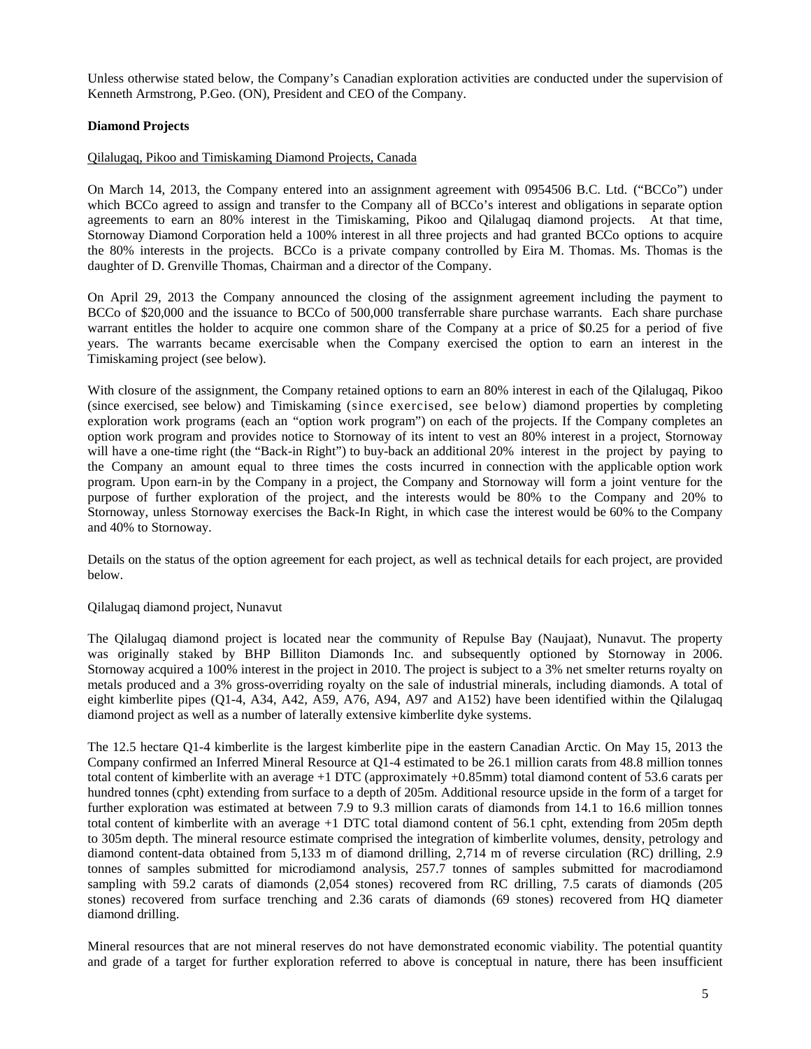Unless otherwise stated below, the Company's Canadian exploration activities are conducted under the supervision of Kenneth Armstrong, P.Geo. (ON), President and CEO of the Company.

# **Diamond Projects**

### Qilalugaq, Pikoo and Timiskaming Diamond Projects, Canada

On March 14, 2013, the Company entered into an assignment agreement with 0954506 B.C. Ltd. ("BCCo") under which BCCo agreed to assign and transfer to the Company all of BCCo's interest and obligations in separate option agreements to earn an 80% interest in the Timiskaming, Pikoo and Qilalugaq diamond projects. At that time, Stornoway Diamond Corporation held a 100% interest in all three projects and had granted BCCo options to acquire the 80% interests in the projects. BCCo is a private company controlled by Eira M. Thomas. Ms. Thomas is the daughter of D. Grenville Thomas, Chairman and a director of the Company.

On April 29, 2013 the Company announced the closing of the assignment agreement including the payment to BCCo of \$20,000 and the issuance to BCCo of 500,000 transferrable share purchase warrants. Each share purchase warrant entitles the holder to acquire one common share of the Company at a price of \$0.25 for a period of five years. The warrants became exercisable when the Company exercised the option to earn an interest in the Timiskaming project (see below).

With closure of the assignment, the Company retained options to earn an 80% interest in each of the Qilalugaq, Pikoo (since exercised, see below) and Timiskaming (since exercised, see below) diamond properties by completing exploration work programs (each an "option work program") on each of the projects. If the Company completes an option work program and provides notice to Stornoway of its intent to vest an 80% interest in a project, Stornoway will have a one-time right (the "Back-in Right") to buy-back an additional 20% interest in the project by paying to the Company an amount equal to three times the costs incurred in connection with the applicable option work program. Upon earn-in by the Company in a project, the Company and Stornoway will form a joint venture for the purpose of further exploration of the project, and the interests would be 80% to the Company and 20% to Stornoway, unless Stornoway exercises the Back-In Right, in which case the interest would be 60% to the Company and 40% to Stornoway.

Details on the status of the option agreement for each project, as well as technical details for each project, are provided below.

#### Qilalugaq diamond project, Nunavut

The Qilalugaq diamond project is located near the community of Repulse Bay (Naujaat), Nunavut. The property was originally staked by BHP Billiton Diamonds Inc. and subsequently optioned by Stornoway in 2006. Stornoway acquired a 100% interest in the project in 2010. The project is subject to a 3% net smelter returns royalty on metals produced and a 3% gross-overriding royalty on the sale of industrial minerals, including diamonds. A total of eight kimberlite pipes (Q1-4, A34, A42, A59, A76, A94, A97 and A152) have been identified within the Qilalugaq diamond project as well as a number of laterally extensive kimberlite dyke systems.

The 12.5 hectare Q1-4 kimberlite is the largest kimberlite pipe in the eastern Canadian Arctic. On May 15, 2013 the Company confirmed an Inferred Mineral Resource at Q1-4 estimated to be 26.1 million carats from 48.8 million tonnes total content of kimberlite with an average +1 DTC (approximately +0.85mm) total diamond content of 53.6 carats per hundred tonnes (cpht) extending from surface to a depth of 205m. Additional resource upside in the form of a target for further exploration was estimated at between 7.9 to 9.3 million carats of diamonds from 14.1 to 16.6 million tonnes total content of kimberlite with an average +1 DTC total diamond content of 56.1 cpht, extending from 205m depth to 305m depth. The mineral resource estimate comprised the integration of kimberlite volumes, density, petrology and diamond content-data obtained from 5,133 m of diamond drilling, 2,714 m of reverse circulation (RC) drilling, 2.9 tonnes of samples submitted for microdiamond analysis, 257.7 tonnes of samples submitted for macrodiamond sampling with 59.2 carats of diamonds (2,054 stones) recovered from RC drilling, 7.5 carats of diamonds (205 stones) recovered from surface trenching and 2.36 carats of diamonds (69 stones) recovered from HQ diameter diamond drilling.

Mineral resources that are not mineral reserves do not have demonstrated economic viability. The potential quantity and grade of a target for further exploration referred to above is conceptual in nature, there has been insufficient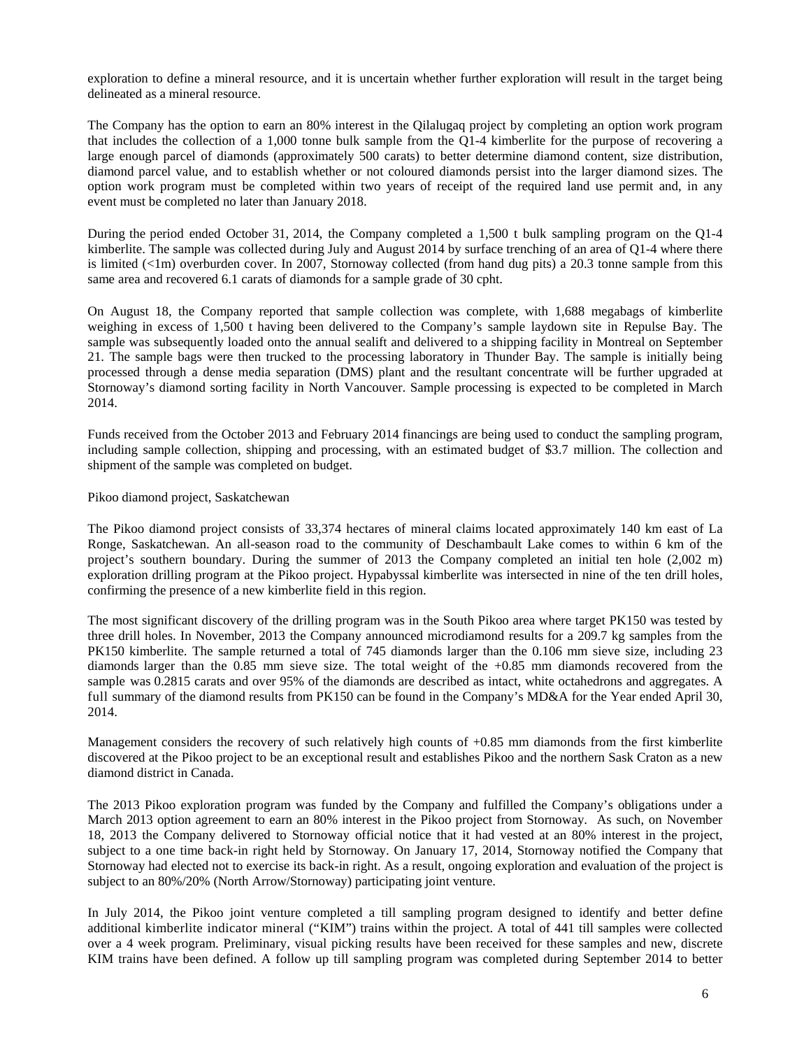exploration to define a mineral resource, and it is uncertain whether further exploration will result in the target being delineated as a mineral resource.

The Company has the option to earn an 80% interest in the Qilalugaq project by completing an option work program that includes the collection of a 1,000 tonne bulk sample from the Q1-4 kimberlite for the purpose of recovering a large enough parcel of diamonds (approximately 500 carats) to better determine diamond content, size distribution, diamond parcel value, and to establish whether or not coloured diamonds persist into the larger diamond sizes. The option work program must be completed within two years of receipt of the required land use permit and, in any event must be completed no later than January 2018.

During the period ended October 31, 2014, the Company completed a 1,500 t bulk sampling program on the Q1-4 kimberlite. The sample was collected during July and August 2014 by surface trenching of an area of Q1-4 where there is limited  $(\langle 1m \rangle)$  overburden cover. In 2007, Stornoway collected (from hand dug pits) a 20.3 tonne sample from this same area and recovered 6.1 carats of diamonds for a sample grade of 30 cpht.

On August 18, the Company reported that sample collection was complete, with 1,688 megabags of kimberlite weighing in excess of 1,500 t having been delivered to the Company's sample laydown site in Repulse Bay. The sample was subsequently loaded onto the annual sealift and delivered to a shipping facility in Montreal on September 21. The sample bags were then trucked to the processing laboratory in Thunder Bay. The sample is initially being processed through a dense media separation (DMS) plant and the resultant concentrate will be further upgraded at Stornoway's diamond sorting facility in North Vancouver. Sample processing is expected to be completed in March 2014.

Funds received from the October 2013 and February 2014 financings are being used to conduct the sampling program, including sample collection, shipping and processing, with an estimated budget of \$3.7 million. The collection and shipment of the sample was completed on budget.

#### Pikoo diamond project, Saskatchewan

The Pikoo diamond project consists of 33,374 hectares of mineral claims located approximately 140 km east of La Ronge, Saskatchewan. An all-season road to the community of Deschambault Lake comes to within 6 km of the project's southern boundary. During the summer of 2013 the Company completed an initial ten hole (2,002 m) exploration drilling program at the Pikoo project. Hypabyssal kimberlite was intersected in nine of the ten drill holes, confirming the presence of a new kimberlite field in this region.

The most significant discovery of the drilling program was in the South Pikoo area where target PK150 was tested by three drill holes. In November, 2013 the Company announced microdiamond results for a 209.7 kg samples from the PK150 kimberlite. The sample returned a total of 745 diamonds larger than the 0.106 mm sieve size, including 23 diamonds larger than the 0.85 mm sieve size. The total weight of the +0.85 mm diamonds recovered from the sample was 0.2815 carats and over 95% of the diamonds are described as intact, white octahedrons and aggregates. A full summary of the diamond results from PK150 can be found in the Company's MD&A for the Year ended April 30, 2014.

Management considers the recovery of such relatively high counts of +0.85 mm diamonds from the first kimberlite discovered at the Pikoo project to be an exceptional result and establishes Pikoo and the northern Sask Craton as a new diamond district in Canada.

The 2013 Pikoo exploration program was funded by the Company and fulfilled the Company's obligations under a March 2013 option agreement to earn an 80% interest in the Pikoo project from Stornoway. As such, on November 18, 2013 the Company delivered to Stornoway official notice that it had vested at an 80% interest in the project, subject to a one time back-in right held by Stornoway. On January 17, 2014, Stornoway notified the Company that Stornoway had elected not to exercise its back-in right. As a result, ongoing exploration and evaluation of the project is subject to an 80%/20% (North Arrow/Stornoway) participating joint venture.

In July 2014, the Pikoo joint venture completed a till sampling program designed to identify and better define additional kimberlite indicator mineral ("KIM") trains within the project. A total of 441 till samples were collected over a 4 week program. Preliminary, visual picking results have been received for these samples and new, discrete KIM trains have been defined. A follow up till sampling program was completed during September 2014 to better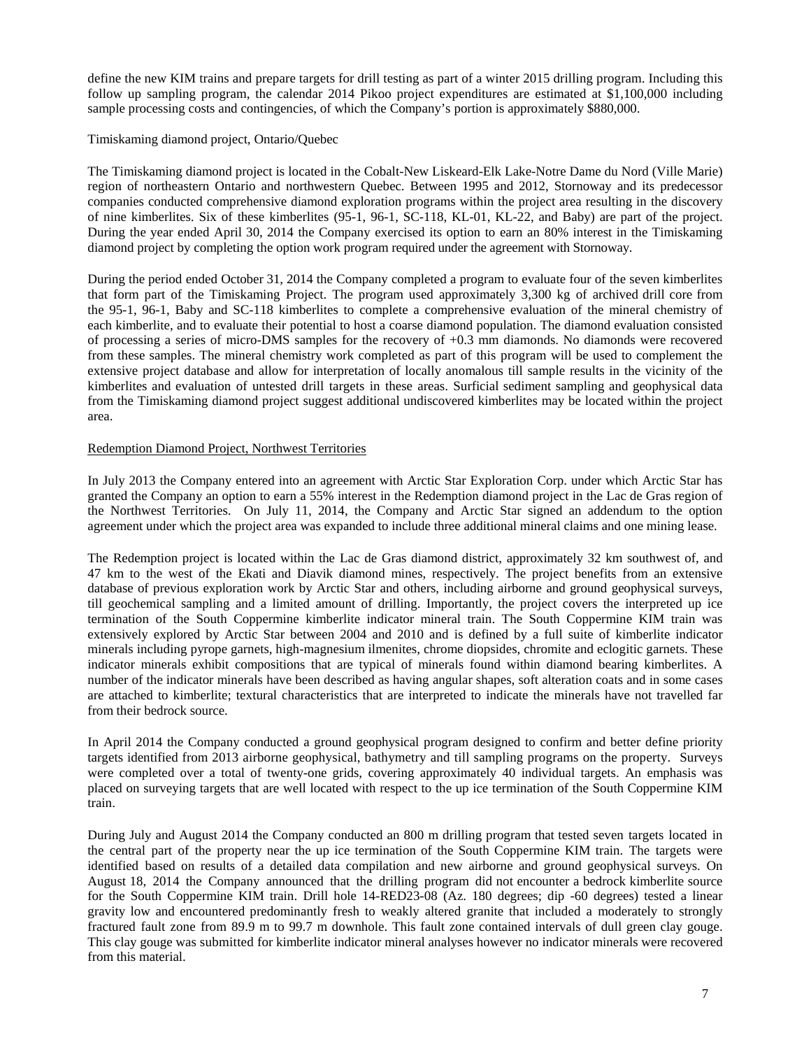define the new KIM trains and prepare targets for drill testing as part of a winter 2015 drilling program. Including this follow up sampling program, the calendar 2014 Pikoo project expenditures are estimated at \$1,100,000 including sample processing costs and contingencies, of which the Company's portion is approximately \$880,000.

Timiskaming diamond project, Ontario/Quebec

The Timiskaming diamond project is located in the Cobalt-New Liskeard-Elk Lake-Notre Dame du Nord (Ville Marie) region of northeastern Ontario and northwestern Quebec. Between 1995 and 2012, Stornoway and its predecessor companies conducted comprehensive diamond exploration programs within the project area resulting in the discovery of nine kimberlites. Six of these kimberlites (95-1, 96-1, SC-118, KL-01, KL-22, and Baby) are part of the project. During the year ended April 30, 2014 the Company exercised its option to earn an 80% interest in the Timiskaming diamond project by completing the option work program required under the agreement with Stornoway.

During the period ended October 31, 2014 the Company completed a program to evaluate four of the seven kimberlites that form part of the Timiskaming Project. The program used approximately 3,300 kg of archived drill core from the 95-1, 96-1, Baby and SC-118 kimberlites to complete a comprehensive evaluation of the mineral chemistry of each kimberlite, and to evaluate their potential to host a coarse diamond population. The diamond evaluation consisted of processing a series of micro-DMS samples for the recovery of +0.3 mm diamonds. No diamonds were recovered from these samples. The mineral chemistry work completed as part of this program will be used to complement the extensive project database and allow for interpretation of locally anomalous till sample results in the vicinity of the kimberlites and evaluation of untested drill targets in these areas. Surficial sediment sampling and geophysical data from the Timiskaming diamond project suggest additional undiscovered kimberlites may be located within the project area.

# Redemption Diamond Project, Northwest Territories

In July 2013 the Company entered into an agreement with Arctic Star Exploration Corp. under which Arctic Star has granted the Company an option to earn a 55% interest in the Redemption diamond project in the Lac de Gras region of the Northwest Territories. On July 11, 2014, the Company and Arctic Star signed an addendum to the option agreement under which the project area was expanded to include three additional mineral claims and one mining lease.

The Redemption project is located within the Lac de Gras diamond district, approximately 32 km southwest of, and 47 km to the west of the Ekati and Diavik diamond mines, respectively. The project benefits from an extensive database of previous exploration work by Arctic Star and others, including airborne and ground geophysical surveys, till geochemical sampling and a limited amount of drilling. Importantly, the project covers the interpreted up ice termination of the South Coppermine kimberlite indicator mineral train. The South Coppermine KIM train was extensively explored by Arctic Star between 2004 and 2010 and is defined by a full suite of kimberlite indicator minerals including pyrope garnets, high-magnesium ilmenites, chrome diopsides, chromite and eclogitic garnets. These indicator minerals exhibit compositions that are typical of minerals found within diamond bearing kimberlites. A number of the indicator minerals have been described as having angular shapes, soft alteration coats and in some cases are attached to kimberlite; textural characteristics that are interpreted to indicate the minerals have not travelled far from their bedrock source.

In April 2014 the Company conducted a ground geophysical program designed to confirm and better define priority targets identified from 2013 airborne geophysical, bathymetry and till sampling programs on the property. Surveys were completed over a total of twenty-one grids, covering approximately 40 individual targets. An emphasis was placed on surveying targets that are well located with respect to the up ice termination of the South Coppermine KIM train.

During July and August 2014 the Company conducted an 800 m drilling program that tested seven targets located in the central part of the property near the up ice termination of the South Coppermine KIM train. The targets were identified based on results of a detailed data compilation and new airborne and ground geophysical surveys. On August 18, 2014 the Company announced that the drilling program did not encounter a bedrock kimberlite source for the South Coppermine KIM train. Drill hole 14-RED23-08 (Az. 180 degrees; dip -60 degrees) tested a linear gravity low and encountered predominantly fresh to weakly altered granite that included a moderately to strongly fractured fault zone from 89.9 m to 99.7 m downhole. This fault zone contained intervals of dull green clay gouge. This clay gouge was submitted for kimberlite indicator mineral analyses however no indicator minerals were recovered from this material.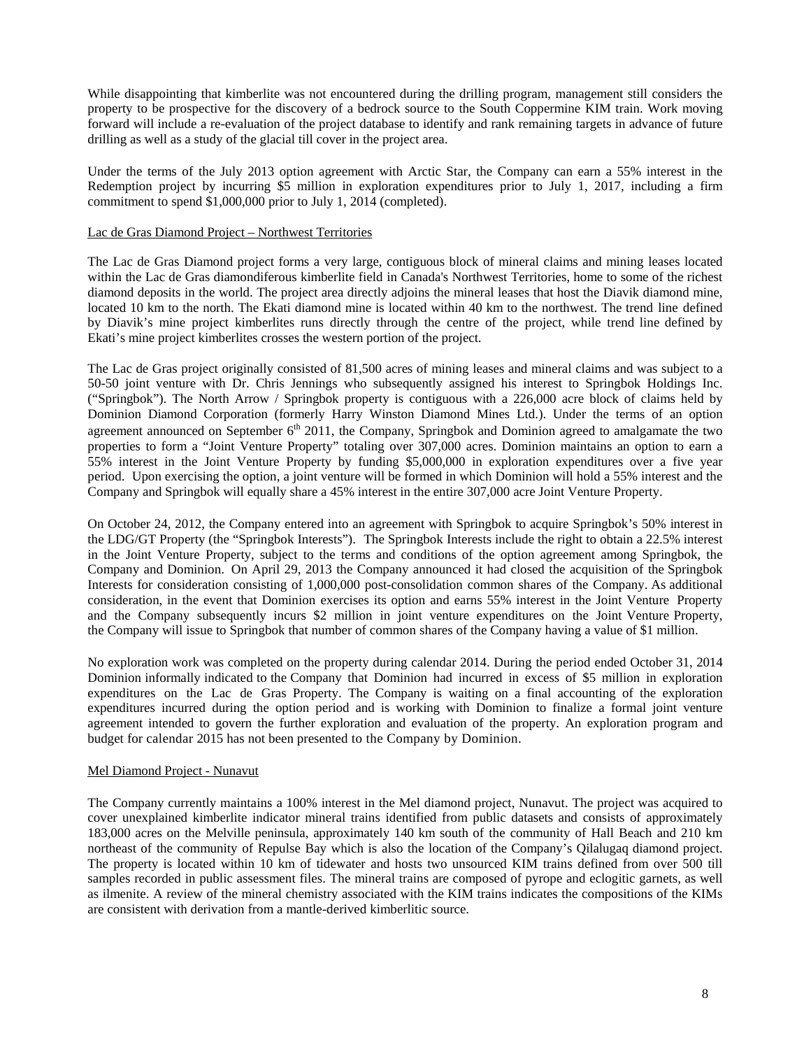While disappointing that kimberlite was not encountered during the drilling program, management still considers the property to be prospective for the discovery of a bedrock source to the South Coppermine KIM train. Work moving forward will include a re-evaluation of the project database to identify and rank remaining targets in advance of future drilling as well as a study of the glacial till cover in the project area.

Under the terms of the July 2013 option agreement with Arctic Star, the Company can earn a 55% interest in the Redemption project by incurring \$5 million in exploration expenditures prior to July 1, 2017, including a firm commitment to spend \$1,000,000 prior to July 1, 2014 (completed).

# Lac de Gras Diamond Project – Northwest Territories

The Lac de Gras Diamond project forms a very large, contiguous block of mineral claims and mining leases located within the Lac de Gras diamondiferous kimberlite field in Canada's Northwest Territories, home to some of the richest diamond deposits in the world. The project area directly adjoins the mineral leases that host the Diavik diamond mine, located 10 km to the north. The Ekati diamond mine is located within 40 km to the northwest. The trend line defined by Diavik's mine project kimberlites runs directly through the centre of the project, while trend line defined by Ekati's mine project kimberlites crosses the western portion of the project.

The Lac de Gras project originally consisted of 81,500 acres of mining leases and mineral claims and was subject to a 50-50 joint venture with Dr. Chris Jennings who subsequently assigned his interest to Springbok Holdings Inc. ("Springbok"). The North Arrow / Springbok property is contiguous with a 226,000 acre block of claims held by Dominion Diamond Corporation (formerly Harry Winston Diamond Mines Ltd.). Under the terms of an option agreement announced on September  $6<sup>th</sup>$  2011, the Company, Springbok and Dominion agreed to amalgamate the two properties to form a "Joint Venture Property" totaling over 307,000 acres. Dominion maintains an option to earn a 55% interest in the Joint Venture Property by funding \$5,000,000 in exploration expenditures over a five year period. Upon exercising the option, a joint venture will be formed in which Dominion will hold a 55% interest and the Company and Springbok will equally share a 45% interest in the entire 307,000 acre Joint Venture Property.

On October 24, 2012, the Company entered into an agreement with Springbok to acquire Springbok's 50% interest in the LDG/GT Property (the "Springbok Interests"). The Springbok Interests include the right to obtain a 22.5% interest in the Joint Venture Property, subject to the terms and conditions of the option agreement among Springbok, the Company and Dominion. On April 29, 2013 the Company announced it had closed the acquisition of the Springbok Interests for consideration consisting of 1,000,000 post-consolidation common shares of the Company. As additional consideration, in the event that Dominion exercises its option and earns 55% interest in the Joint Venture Property and the Company subsequently incurs \$2 million in joint venture expenditures on the Joint Venture Property, the Company will issue to Springbok that number of common shares of the Company having a value of \$1 million.

No exploration work was completed on the property during calendar 2014. During the period ended October 31, 2014 Dominion informally indicated to the Company that Dominion had incurred in excess of \$5 million in exploration expenditures on the Lac de Gras Property. The Company is waiting on a final accounting of the exploration expenditures incurred during the option period and is working with Dominion to finalize a formal joint venture agreement intended to govern the further exploration and evaluation of the property. An exploration program and budget for calendar 2015 has not been presented to the Company by Dominion.

#### Mel Diamond Project - Nunavut

The Company currently maintains a 100% interest in the Mel diamond project, Nunavut. The project was acquired to cover unexplained kimberlite indicator mineral trains identified from public datasets and consists of approximately 183,000 acres on the Melville peninsula, approximately 140 km south of the community of Hall Beach and 210 km northeast of the community of Repulse Bay which is also the location of the Company's Qilalugaq diamond project. The property is located within 10 km of tidewater and hosts two unsourced KIM trains defined from over 500 till samples recorded in public assessment files. The mineral trains are composed of pyrope and eclogitic garnets, as well as ilmenite. A review of the mineral chemistry associated with the KIM trains indicates the compositions of the KIMs are consistent with derivation from a mantle-derived kimberlitic source.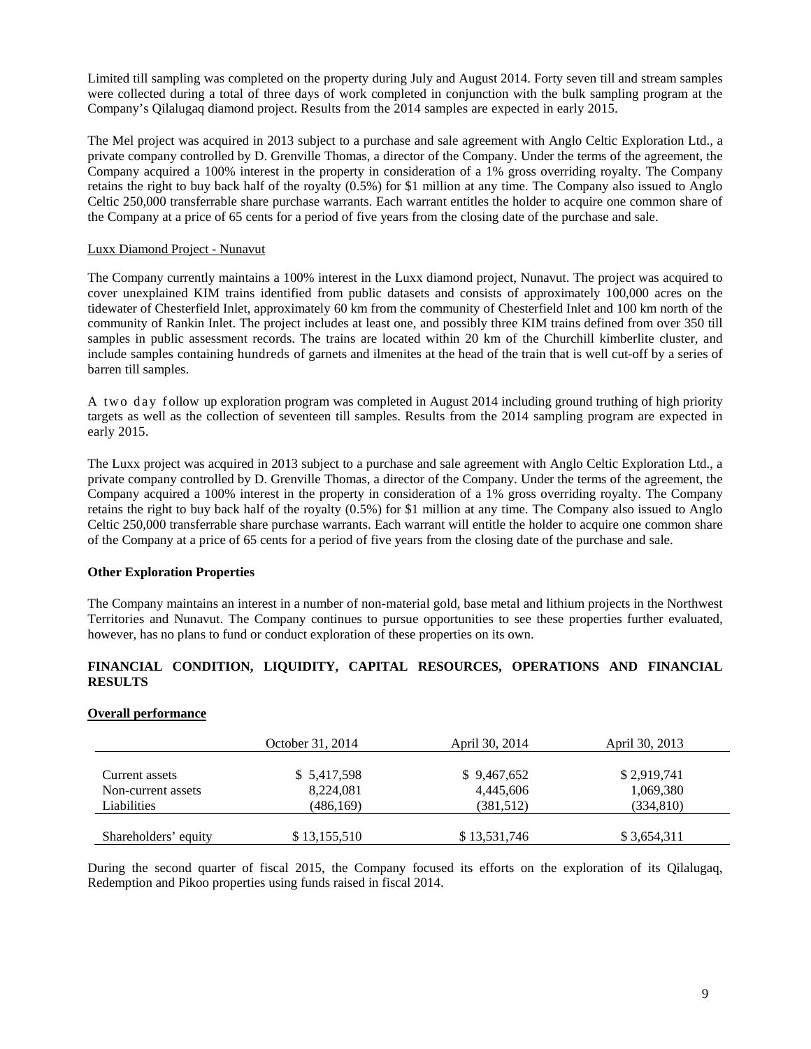Limited till sampling was completed on the property during July and August 2014. Forty seven till and stream samples were collected during a total of three days of work completed in conjunction with the bulk sampling program at the Company's Qilalugaq diamond project. Results from the 2014 samples are expected in early 2015.

The Mel project was acquired in 2013 subject to a purchase and sale agreement with Anglo Celtic Exploration Ltd., a private company controlled by D. Grenville Thomas, a director of the Company. Under the terms of the agreement, the Company acquired a 100% interest in the property in consideration of a 1% gross overriding royalty. The Company retains the right to buy back half of the royalty (0.5%) for \$1 million at any time. The Company also issued to Anglo Celtic 250,000 transferrable share purchase warrants. Each warrant entitles the holder to acquire one common share of the Company at a price of 65 cents for a period of five years from the closing date of the purchase and sale.

# Luxx Diamond Project - Nunavut

The Company currently maintains a 100% interest in the Luxx diamond project, Nunavut. The project was acquired to cover unexplained KIM trains identified from public datasets and consists of approximately 100,000 acres on the tidewater of Chesterfield Inlet, approximately 60 km from the community of Chesterfield Inlet and 100 km north of the community of Rankin Inlet. The project includes at least one, and possibly three KIM trains defined from over 350 till samples in public assessment records. The trains are located within 20 km of the Churchill kimberlite cluster, and include samples containing hundreds of garnets and ilmenites at the head of the train that is well cut-off by a series of barren till samples.

A two day follow up exploration program was completed in August 2014 including ground truthing of high priority targets as well as the collection of seventeen till samples. Results from the 2014 sampling program are expected in early 2015.

The Luxx project was acquired in 2013 subject to a purchase and sale agreement with Anglo Celtic Exploration Ltd., a private company controlled by D. Grenville Thomas, a director of the Company. Under the terms of the agreement, the Company acquired a 100% interest in the property in consideration of a 1% gross overriding royalty. The Company retains the right to buy back half of the royalty (0.5%) for \$1 million at any time. The Company also issued to Anglo Celtic 250,000 transferrable share purchase warrants. Each warrant will entitle the holder to acquire one common share of the Company at a price of 65 cents for a period of five years from the closing date of the purchase and sale.

# **Other Exploration Properties**

The Company maintains an interest in a number of non-material gold, base metal and lithium projects in the Northwest Territories and Nunavut. The Company continues to pursue opportunities to see these properties further evaluated, however, has no plans to fund or conduct exploration of these properties on its own.

# **FINANCIAL CONDITION, LIQUIDITY, CAPITAL RESOURCES, OPERATIONS AND FINANCIAL RESULTS**

# **Overall performance**

|                      | October 31, 2014 | April 30, 2014 | April 30, 2013 |
|----------------------|------------------|----------------|----------------|
|                      |                  |                |                |
| Current assets       | \$ 5,417,598     | \$9,467,652    | \$2,919,741    |
| Non-current assets   | 8,224,081        | 4,445,606      | 1,069,380      |
| Liabilities          | (486,169)        | (381,512)      | (334, 810)     |
|                      |                  |                |                |
| Shareholders' equity | \$13,155,510     | \$13,531,746   | \$3,654,311    |

During the second quarter of fiscal 2015, the Company focused its efforts on the exploration of its Qilalugaq, Redemption and Pikoo properties using funds raised in fiscal 2014.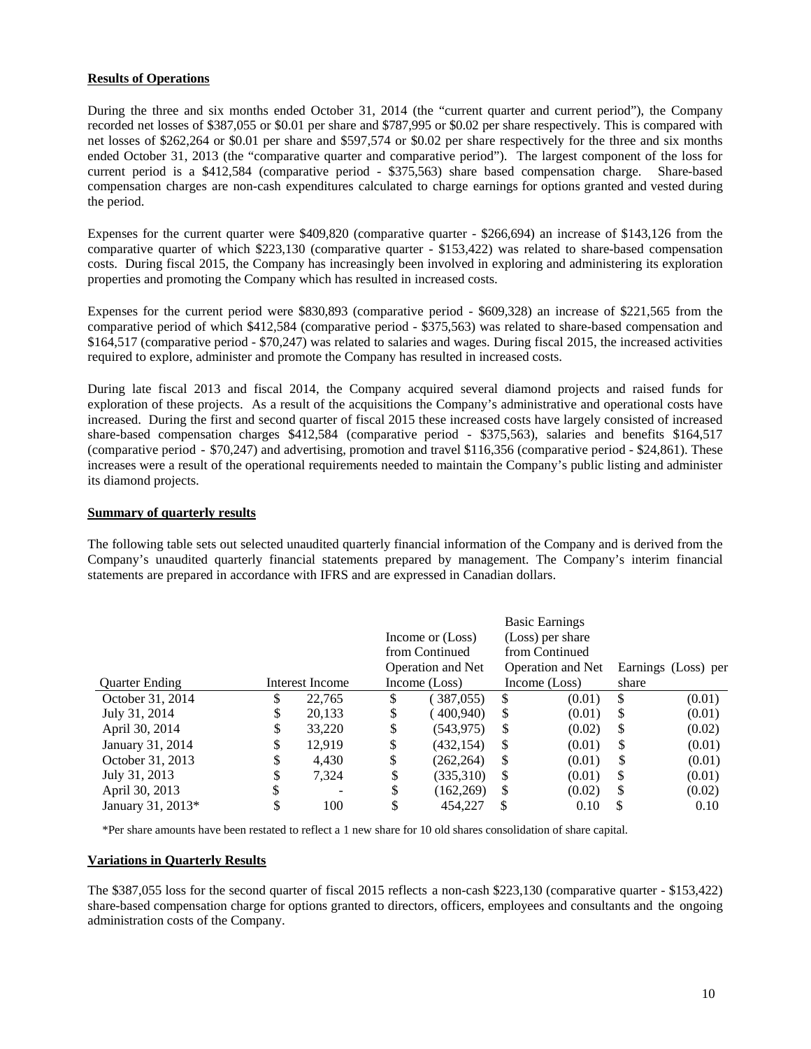# **Results of Operations**

During the three and six months ended October 31, 2014 (the "current quarter and current period"), the Company recorded net losses of \$387,055 or \$0.01 per share and \$787,995 or \$0.02 per share respectively. This is compared with net losses of \$262,264 or \$0.01 per share and \$597,574 or \$0.02 per share respectively for the three and six months ended October 31, 2013 (the "comparative quarter and comparative period"). The largest component of the loss for current period is a \$412,584 (comparative period - \$375,563) share based compensation charge. Share-based compensation charges are non-cash expenditures calculated to charge earnings for options granted and vested during the period.

Expenses for the current quarter were \$409,820 (comparative quarter - \$266,694) an increase of \$143,126 from the comparative quarter of which \$223,130 (comparative quarter - \$153,422) was related to share-based compensation costs. During fiscal 2015, the Company has increasingly been involved in exploring and administering its exploration properties and promoting the Company which has resulted in increased costs.

Expenses for the current period were \$830,893 (comparative period - \$609,328) an increase of \$221,565 from the comparative period of which \$412,584 (comparative period - \$375,563) was related to share-based compensation and \$164,517 (comparative period - \$70,247) was related to salaries and wages. During fiscal 2015, the increased activities required to explore, administer and promote the Company has resulted in increased costs.

During late fiscal 2013 and fiscal 2014, the Company acquired several diamond projects and raised funds for exploration of these projects. As a result of the acquisitions the Company's administrative and operational costs have increased. During the first and second quarter of fiscal 2015 these increased costs have largely consisted of increased share-based compensation charges \$412,584 (comparative period - \$375,563), salaries and benefits \$164,517 (comparative period - \$70,247) and advertising, promotion and travel \$116,356 (comparative period - \$24,861). These increases were a result of the operational requirements needed to maintain the Company's public listing and administer its diamond projects.

# **Summary of quarterly results**

The following table sets out selected unaudited quarterly financial information of the Company and is derived from the Company's unaudited quarterly financial statements prepared by management. The Company's interim financial statements are prepared in accordance with IFRS and are expressed in Canadian dollars.

|                       |    |                 |    | Income or (Loss)<br>from Continued<br>Operation and Net |          | <b>Basic Earnings</b><br>(Loss) per share<br>from Continued<br><b>Operation and Net</b> |       | Earnings (Loss) per |
|-----------------------|----|-----------------|----|---------------------------------------------------------|----------|-----------------------------------------------------------------------------------------|-------|---------------------|
| <b>Ouarter Ending</b> |    | Interest Income |    | Income (Loss)                                           |          | Income (Loss)                                                                           | share |                     |
| October 31, 2014      | \$ | 22,765          | S  | (387,055)                                               | \$.      | (0.01)                                                                                  | S     | (0.01)              |
| July 31, 2014         | S  | 20,133          | \$ | (400, 940)                                              | S        | (0.01)                                                                                  | \$    | (0.01)              |
| April 30, 2014        | J  | 33,220          | \$ | (543, 975)                                              | \$       | (0.02)                                                                                  | \$    | (0.02)              |
| January 31, 2014      | \$ | 12.919          | \$ | (432,154)                                               | S        | (0.01)                                                                                  | \$    | (0.01)              |
| October 31, 2013      | \$ | 4,430           | \$ | (262, 264)                                              | S        | (0.01)                                                                                  | \$    | (0.01)              |
| July 31, 2013         |    | 7,324           | \$ | (335,310)                                               | <b>S</b> | (0.01)                                                                                  | S     | (0.01)              |
| April 30, 2013        |    |                 | \$ | (162, 269)                                              | \$       | (0.02)                                                                                  | S     | (0.02)              |
| January 31, 2013*     |    | 100             |    | 454,227                                                 | S        | 0.10                                                                                    | S     | 0.10                |

\*Per share amounts have been restated to reflect a 1 new share for 10 old shares consolidation of share capital.

# **Variations in Quarterly Results**

The \$387,055 loss for the second quarter of fiscal 2015 reflects a non-cash \$223,130 (comparative quarter - \$153,422) share-based compensation charge for options granted to directors, officers, employees and consultants and the ongoing administration costs of the Company.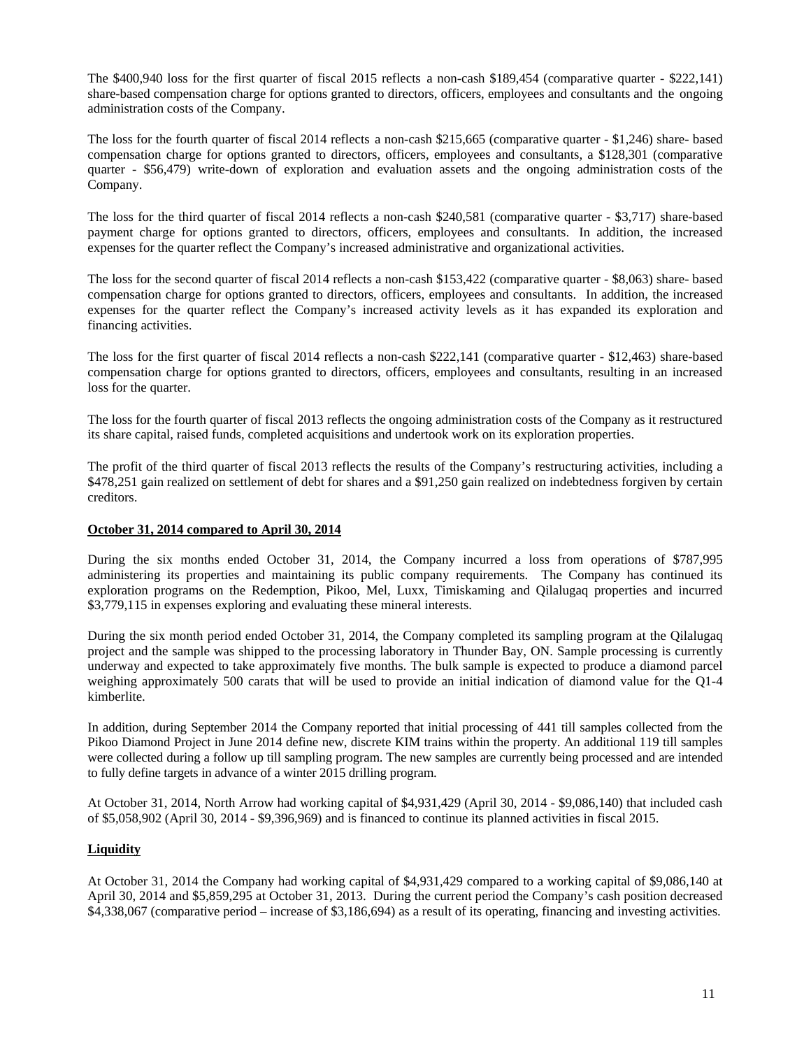The \$400,940 loss for the first quarter of fiscal 2015 reflects a non-cash \$189,454 (comparative quarter - \$222,141) share-based compensation charge for options granted to directors, officers, employees and consultants and the ongoing administration costs of the Company.

The loss for the fourth quarter of fiscal 2014 reflects a non-cash \$215,665 (comparative quarter - \$1,246) share- based compensation charge for options granted to directors, officers, employees and consultants, a \$128,301 (comparative quarter - \$56,479) write-down of exploration and evaluation assets and the ongoing administration costs of the Company.

The loss for the third quarter of fiscal 2014 reflects a non-cash \$240,581 (comparative quarter - \$3,717) share-based payment charge for options granted to directors, officers, employees and consultants. In addition, the increased expenses for the quarter reflect the Company's increased administrative and organizational activities.

The loss for the second quarter of fiscal 2014 reflects a non-cash \$153,422 (comparative quarter - \$8,063) share- based compensation charge for options granted to directors, officers, employees and consultants. In addition, the increased expenses for the quarter reflect the Company's increased activity levels as it has expanded its exploration and financing activities.

The loss for the first quarter of fiscal 2014 reflects a non-cash \$222,141 (comparative quarter - \$12,463) share-based compensation charge for options granted to directors, officers, employees and consultants, resulting in an increased loss for the quarter.

The loss for the fourth quarter of fiscal 2013 reflects the ongoing administration costs of the Company as it restructured its share capital, raised funds, completed acquisitions and undertook work on its exploration properties.

The profit of the third quarter of fiscal 2013 reflects the results of the Company's restructuring activities, including a \$478,251 gain realized on settlement of debt for shares and a \$91,250 gain realized on indebtedness forgiven by certain creditors.

# **October 31, 2014 compared to April 30, 2014**

During the six months ended October 31, 2014, the Company incurred a loss from operations of \$787,995 administering its properties and maintaining its public company requirements. The Company has continued its exploration programs on the Redemption, Pikoo, Mel, Luxx, Timiskaming and Qilalugaq properties and incurred \$3,779,115 in expenses exploring and evaluating these mineral interests.

During the six month period ended October 31, 2014, the Company completed its sampling program at the Qilalugaq project and the sample was shipped to the processing laboratory in Thunder Bay, ON. Sample processing is currently underway and expected to take approximately five months. The bulk sample is expected to produce a diamond parcel weighing approximately 500 carats that will be used to provide an initial indication of diamond value for the Q1-4 kimberlite.

In addition, during September 2014 the Company reported that initial processing of 441 till samples collected from the Pikoo Diamond Project in June 2014 define new, discrete KIM trains within the property. An additional 119 till samples were collected during a follow up till sampling program. The new samples are currently being processed and are intended to fully define targets in advance of a winter 2015 drilling program.

At October 31, 2014, North Arrow had working capital of \$4,931,429 (April 30, 2014 - \$9,086,140) that included cash of \$5,058,902 (April 30, 2014 - \$9,396,969) and is financed to continue its planned activities in fiscal 2015.

# **Liquidity**

At October 31, 2014 the Company had working capital of \$4,931,429 compared to a working capital of \$9,086,140 at April 30, 2014 and \$5,859,295 at October 31, 2013. During the current period the Company's cash position decreased \$4,338,067 (comparative period – increase of \$3,186,694) as a result of its operating, financing and investing activities.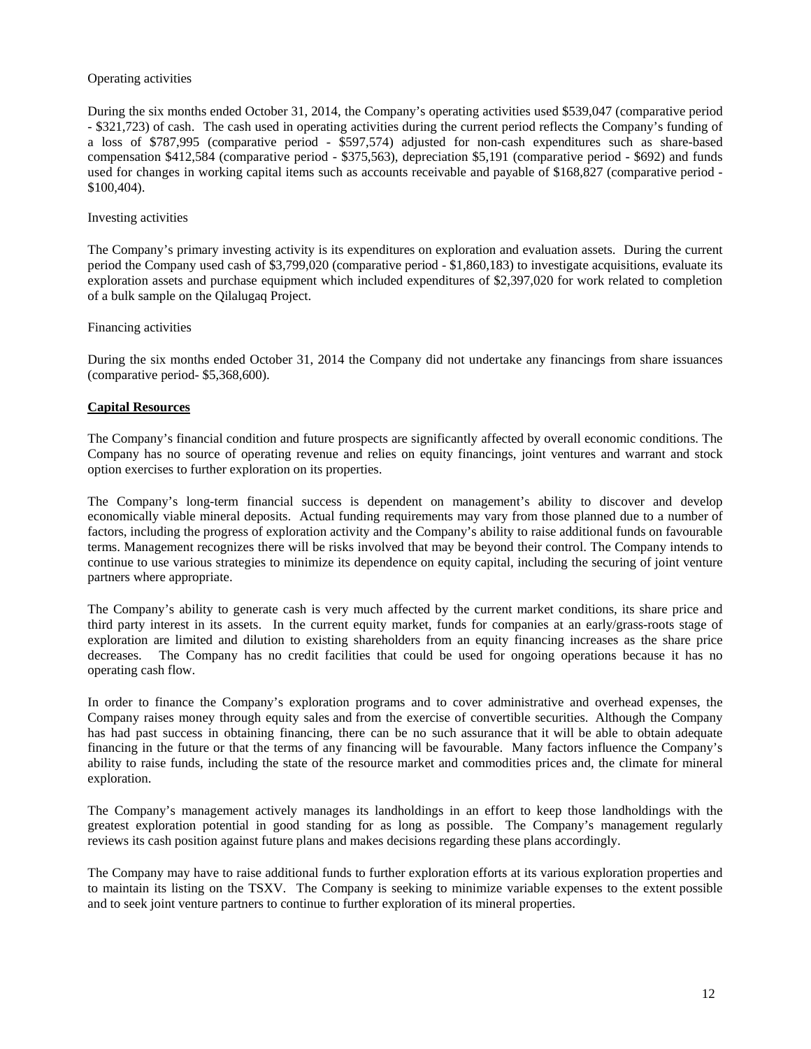# Operating activities

During the six months ended October 31, 2014, the Company's operating activities used \$539,047 (comparative period - \$321,723) of cash. The cash used in operating activities during the current period reflects the Company's funding of a loss of \$787,995 (comparative period - \$597,574) adjusted for non-cash expenditures such as share-based compensation \$412,584 (comparative period - \$375,563), depreciation \$5,191 (comparative period - \$692) and funds used for changes in working capital items such as accounts receivable and payable of \$168,827 (comparative period - \$100,404).

# Investing activities

The Company's primary investing activity is its expenditures on exploration and evaluation assets. During the current period the Company used cash of \$3,799,020 (comparative period - \$1,860,183) to investigate acquisitions, evaluate its exploration assets and purchase equipment which included expenditures of \$2,397,020 for work related to completion of a bulk sample on the Qilalugaq Project.

# Financing activities

During the six months ended October 31, 2014 the Company did not undertake any financings from share issuances (comparative period- \$5,368,600).

# **Capital Resources**

The Company's financial condition and future prospects are significantly affected by overall economic conditions. The Company has no source of operating revenue and relies on equity financings, joint ventures and warrant and stock option exercises to further exploration on its properties.

The Company's long-term financial success is dependent on management's ability to discover and develop economically viable mineral deposits. Actual funding requirements may vary from those planned due to a number of factors, including the progress of exploration activity and the Company's ability to raise additional funds on favourable terms. Management recognizes there will be risks involved that may be beyond their control. The Company intends to continue to use various strategies to minimize its dependence on equity capital, including the securing of joint venture partners where appropriate.

The Company's ability to generate cash is very much affected by the current market conditions, its share price and third party interest in its assets. In the current equity market, funds for companies at an early/grass-roots stage of exploration are limited and dilution to existing shareholders from an equity financing increases as the share price decreases. The Company has no credit facilities that could be used for ongoing operations because it has no operating cash flow.

In order to finance the Company's exploration programs and to cover administrative and overhead expenses, the Company raises money through equity sales and from the exercise of convertible securities. Although the Company has had past success in obtaining financing, there can be no such assurance that it will be able to obtain adequate financing in the future or that the terms of any financing will be favourable. Many factors influence the Company's ability to raise funds, including the state of the resource market and commodities prices and, the climate for mineral exploration.

The Company's management actively manages its landholdings in an effort to keep those landholdings with the greatest exploration potential in good standing for as long as possible. The Company's management regularly reviews its cash position against future plans and makes decisions regarding these plans accordingly.

The Company may have to raise additional funds to further exploration efforts at its various exploration properties and to maintain its listing on the TSXV. The Company is seeking to minimize variable expenses to the extent possible and to seek joint venture partners to continue to further exploration of its mineral properties.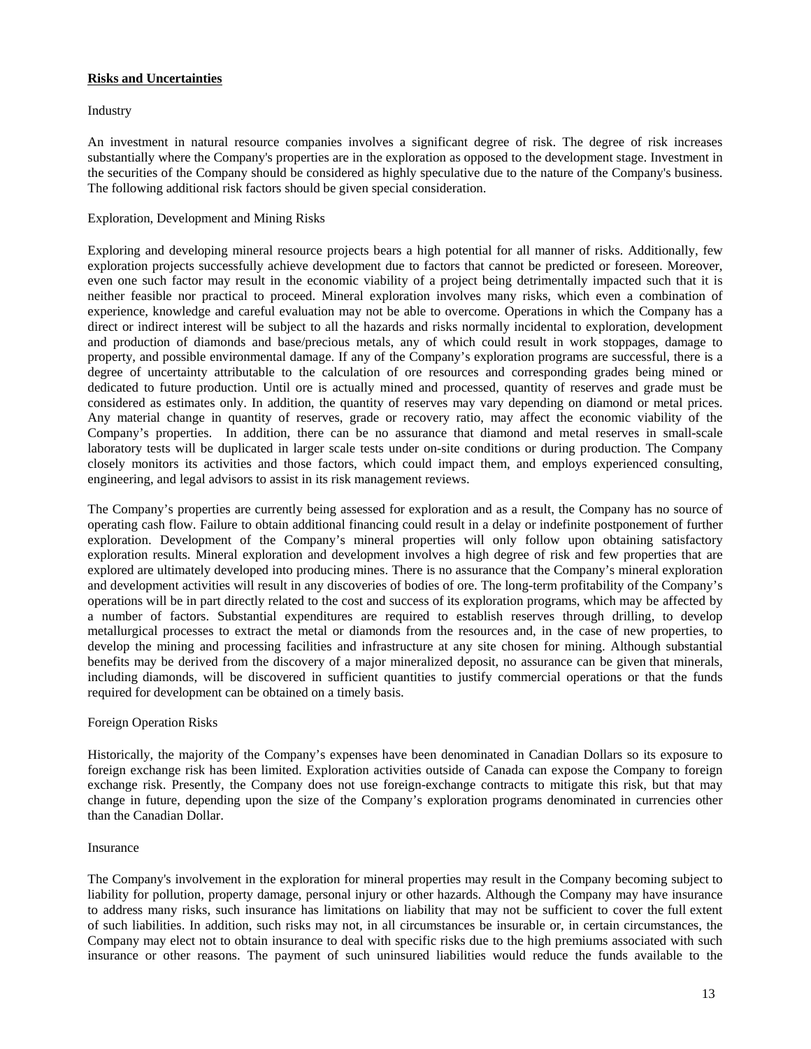# **Risks and Uncertainties**

Industry

An investment in natural resource companies involves a significant degree of risk. The degree of risk increases substantially where the Company's properties are in the exploration as opposed to the development stage. Investment in the securities of the Company should be considered as highly speculative due to the nature of the Company's business. The following additional risk factors should be given special consideration.

# Exploration, Development and Mining Risks

Exploring and developing mineral resource projects bears a high potential for all manner of risks. Additionally, few exploration projects successfully achieve development due to factors that cannot be predicted or foreseen. Moreover, even one such factor may result in the economic viability of a project being detrimentally impacted such that it is neither feasible nor practical to proceed. Mineral exploration involves many risks, which even a combination of experience, knowledge and careful evaluation may not be able to overcome. Operations in which the Company has a direct or indirect interest will be subject to all the hazards and risks normally incidental to exploration, development and production of diamonds and base/precious metals, any of which could result in work stoppages, damage to property, and possible environmental damage. If any of the Company's exploration programs are successful, there is a degree of uncertainty attributable to the calculation of ore resources and corresponding grades being mined or dedicated to future production. Until ore is actually mined and processed, quantity of reserves and grade must be considered as estimates only. In addition, the quantity of reserves may vary depending on diamond or metal prices. Any material change in quantity of reserves, grade or recovery ratio, may affect the economic viability of the Company's properties. In addition, there can be no assurance that diamond and metal reserves in small-scale laboratory tests will be duplicated in larger scale tests under on-site conditions or during production. The Company closely monitors its activities and those factors, which could impact them, and employs experienced consulting, engineering, and legal advisors to assist in its risk management reviews.

The Company's properties are currently being assessed for exploration and as a result, the Company has no source of operating cash flow. Failure to obtain additional financing could result in a delay or indefinite postponement of further exploration. Development of the Company's mineral properties will only follow upon obtaining satisfactory exploration results. Mineral exploration and development involves a high degree of risk and few properties that are explored are ultimately developed into producing mines. There is no assurance that the Company's mineral exploration and development activities will result in any discoveries of bodies of ore. The long-term profitability of the Company's operations will be in part directly related to the cost and success of its exploration programs, which may be affected by a number of factors. Substantial expenditures are required to establish reserves through drilling, to develop metallurgical processes to extract the metal or diamonds from the resources and, in the case of new properties, to develop the mining and processing facilities and infrastructure at any site chosen for mining. Although substantial benefits may be derived from the discovery of a major mineralized deposit, no assurance can be given that minerals, including diamonds, will be discovered in sufficient quantities to justify commercial operations or that the funds required for development can be obtained on a timely basis.

#### Foreign Operation Risks

Historically, the majority of the Company's expenses have been denominated in Canadian Dollars so its exposure to foreign exchange risk has been limited. Exploration activities outside of Canada can expose the Company to foreign exchange risk. Presently, the Company does not use foreign-exchange contracts to mitigate this risk, but that may change in future, depending upon the size of the Company's exploration programs denominated in currencies other than the Canadian Dollar.

#### Insurance

The Company's involvement in the exploration for mineral properties may result in the Company becoming subject to liability for pollution, property damage, personal injury or other hazards. Although the Company may have insurance to address many risks, such insurance has limitations on liability that may not be sufficient to cover the full extent of such liabilities. In addition, such risks may not, in all circumstances be insurable or, in certain circumstances, the Company may elect not to obtain insurance to deal with specific risks due to the high premiums associated with such insurance or other reasons. The payment of such uninsured liabilities would reduce the funds available to the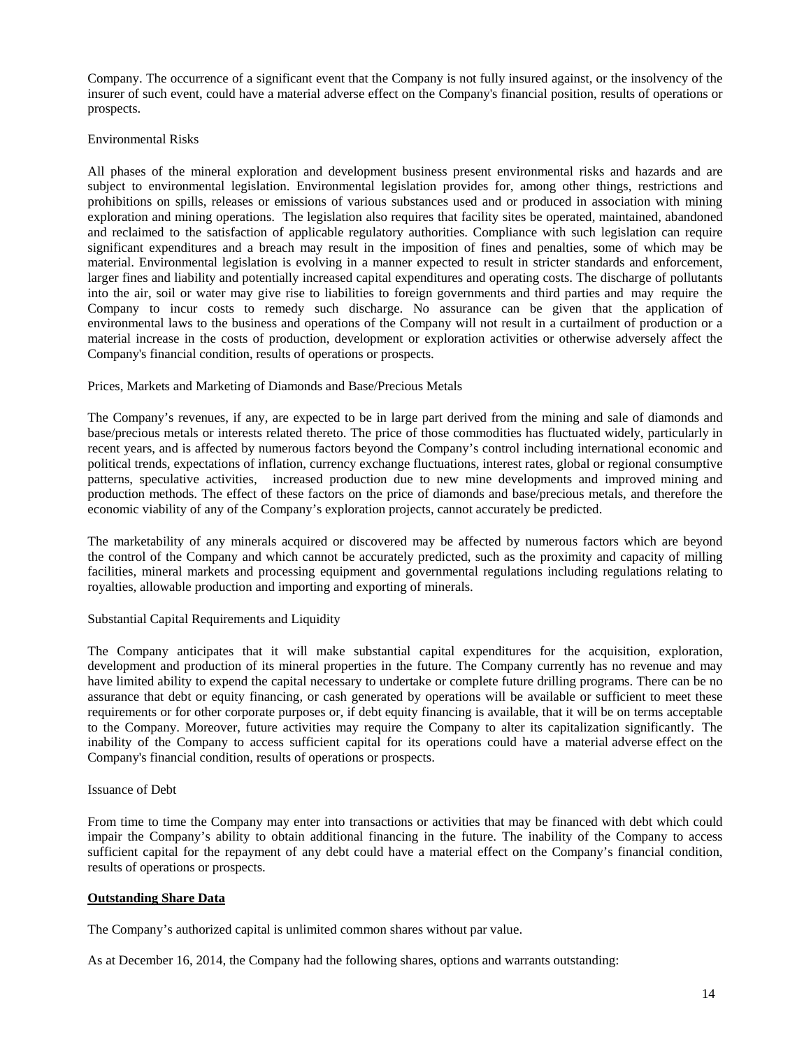Company. The occurrence of a significant event that the Company is not fully insured against, or the insolvency of the insurer of such event, could have a material adverse effect on the Company's financial position, results of operations or prospects.

# Environmental Risks

All phases of the mineral exploration and development business present environmental risks and hazards and are subject to environmental legislation. Environmental legislation provides for, among other things, restrictions and prohibitions on spills, releases or emissions of various substances used and or produced in association with mining exploration and mining operations. The legislation also requires that facility sites be operated, maintained, abandoned and reclaimed to the satisfaction of applicable regulatory authorities. Compliance with such legislation can require significant expenditures and a breach may result in the imposition of fines and penalties, some of which may be material. Environmental legislation is evolving in a manner expected to result in stricter standards and enforcement, larger fines and liability and potentially increased capital expenditures and operating costs. The discharge of pollutants into the air, soil or water may give rise to liabilities to foreign governments and third parties and may require the Company to incur costs to remedy such discharge. No assurance can be given that the application of environmental laws to the business and operations of the Company will not result in a curtailment of production or a material increase in the costs of production, development or exploration activities or otherwise adversely affect the Company's financial condition, results of operations or prospects.

# Prices, Markets and Marketing of Diamonds and Base/Precious Metals

The Company's revenues, if any, are expected to be in large part derived from the mining and sale of diamonds and base/precious metals or interests related thereto. The price of those commodities has fluctuated widely, particularly in recent years, and is affected by numerous factors beyond the Company's control including international economic and political trends, expectations of inflation, currency exchange fluctuations, interest rates, global or regional consumptive patterns, speculative activities, increased production due to new mine developments and improved mining and production methods. The effect of these factors on the price of diamonds and base/precious metals, and therefore the economic viability of any of the Company's exploration projects, cannot accurately be predicted.

The marketability of any minerals acquired or discovered may be affected by numerous factors which are beyond the control of the Company and which cannot be accurately predicted, such as the proximity and capacity of milling facilities, mineral markets and processing equipment and governmental regulations including regulations relating to royalties, allowable production and importing and exporting of minerals.

#### Substantial Capital Requirements and Liquidity

The Company anticipates that it will make substantial capital expenditures for the acquisition, exploration, development and production of its mineral properties in the future. The Company currently has no revenue and may have limited ability to expend the capital necessary to undertake or complete future drilling programs. There can be no assurance that debt or equity financing, or cash generated by operations will be available or sufficient to meet these requirements or for other corporate purposes or, if debt equity financing is available, that it will be on terms acceptable to the Company. Moreover, future activities may require the Company to alter its capitalization significantly. The inability of the Company to access sufficient capital for its operations could have a material adverse effect on the Company's financial condition, results of operations or prospects.

#### Issuance of Debt

From time to time the Company may enter into transactions or activities that may be financed with debt which could impair the Company's ability to obtain additional financing in the future. The inability of the Company to access sufficient capital for the repayment of any debt could have a material effect on the Company's financial condition, results of operations or prospects.

#### **Outstanding Share Data**

The Company's authorized capital is unlimited common shares without par value.

As at December 16, 2014, the Company had the following shares, options and warrants outstanding: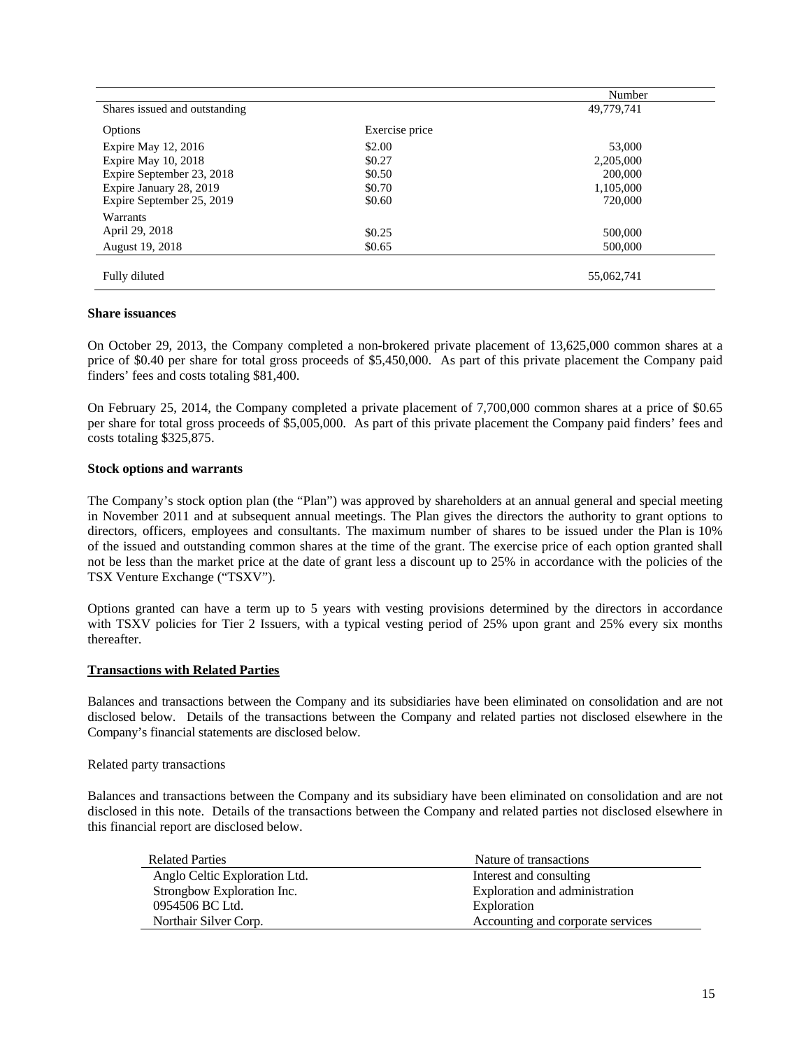|                               |                | Number     |
|-------------------------------|----------------|------------|
| Shares issued and outstanding |                | 49,779,741 |
| Options                       | Exercise price |            |
| Expire May 12, 2016           | \$2.00         | 53,000     |
| Expire May 10, 2018           | \$0.27         | 2,205,000  |
| Expire September 23, 2018     | \$0.50         | 200,000    |
| Expire January 28, 2019       | \$0.70         | 1,105,000  |
| Expire September 25, 2019     | \$0.60         | 720,000    |
| <b>Warrants</b>               |                |            |
| April 29, 2018                | \$0.25         | 500,000    |
| August 19, 2018               | \$0.65         | 500,000    |
| Fully diluted                 |                | 55,062,741 |

### **Share issuances**

On October 29, 2013, the Company completed a non-brokered private placement of 13,625,000 common shares at a price of \$0.40 per share for total gross proceeds of \$5,450,000. As part of this private placement the Company paid finders' fees and costs totaling \$81,400.

On February 25, 2014, the Company completed a private placement of 7,700,000 common shares at a price of \$0.65 per share for total gross proceeds of \$5,005,000. As part of this private placement the Company paid finders' fees and costs totaling \$325,875.

# **Stock options and warrants**

The Company's stock option plan (the "Plan") was approved by shareholders at an annual general and special meeting in November 2011 and at subsequent annual meetings. The Plan gives the directors the authority to grant options to directors, officers, employees and consultants. The maximum number of shares to be issued under the Plan is 10% of the issued and outstanding common shares at the time of the grant. The exercise price of each option granted shall not be less than the market price at the date of grant less a discount up to 25% in accordance with the policies of the TSX Venture Exchange ("TSXV").

Options granted can have a term up to 5 years with vesting provisions determined by the directors in accordance with TSXV policies for Tier 2 Issuers, with a typical vesting period of 25% upon grant and 25% every six months thereafter.

# **Transactions with Related Parties**

Balances and transactions between the Company and its subsidiaries have been eliminated on consolidation and are not disclosed below. Details of the transactions between the Company and related parties not disclosed elsewhere in the Company's financial statements are disclosed below.

#### Related party transactions

Balances and transactions between the Company and its subsidiary have been eliminated on consolidation and are not disclosed in this note. Details of the transactions between the Company and related parties not disclosed elsewhere in this financial report are disclosed below.

| <b>Related Parties</b>        | Nature of transactions            |
|-------------------------------|-----------------------------------|
| Anglo Celtic Exploration Ltd. | Interest and consulting           |
| Strongbow Exploration Inc.    | Exploration and administration    |
| 0954506 BC Ltd.               | Exploration                       |
| Northair Silver Corp.         | Accounting and corporate services |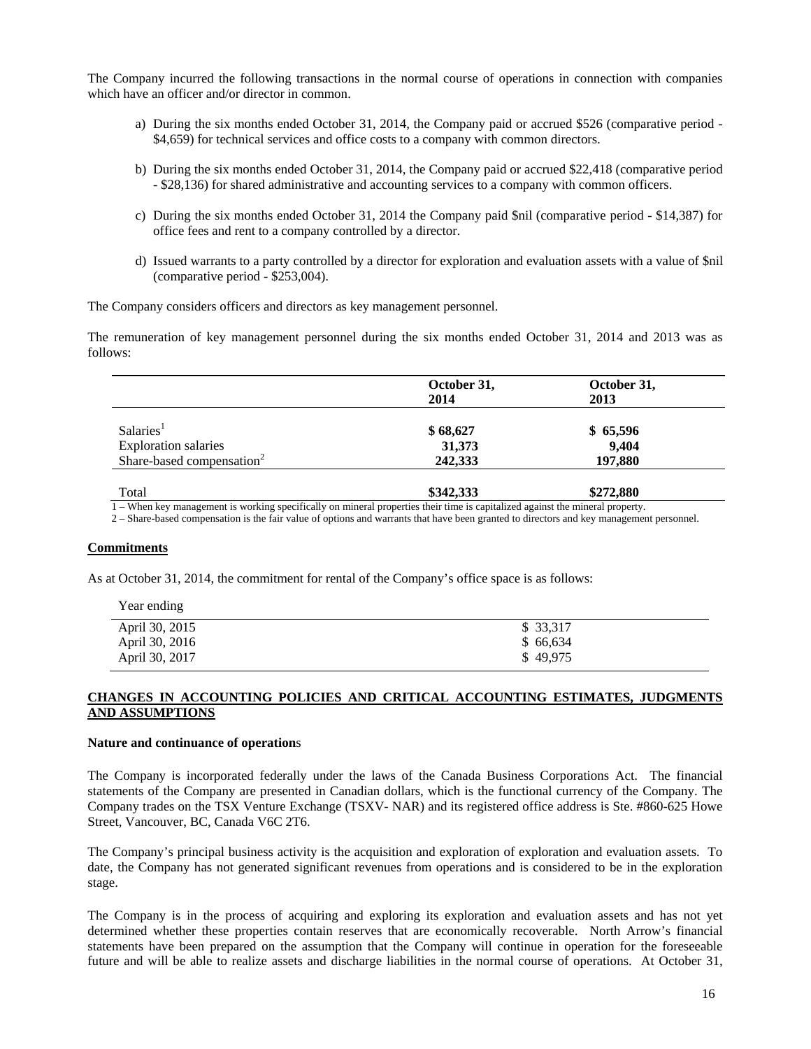The Company incurred the following transactions in the normal course of operations in connection with companies which have an officer and/or director in common.

- a) During the six months ended October 31, 2014, the Company paid or accrued \$526 (comparative period \$4,659) for technical services and office costs to a company with common directors.
- b) During the six months ended October 31, 2014, the Company paid or accrued \$22,418 (comparative period - \$28,136) for shared administrative and accounting services to a company with common officers.
- c) During the six months ended October 31, 2014 the Company paid \$nil (comparative period \$14,387) for office fees and rent to a company controlled by a director.
- d) Issued warrants to a party controlled by a director for exploration and evaluation assets with a value of \$nil (comparative period - \$253,004).

The Company considers officers and directors as key management personnel.

The remuneration of key management personnel during the six months ended October 31, 2014 and 2013 was as follows:

|                                       | October 31,  | October 31, |  |  |
|---------------------------------------|--------------|-------------|--|--|
|                                       | 2014         | 2013        |  |  |
| Salaries <sup>1</sup>                 | \$68,627     | \$65,596    |  |  |
| <b>Exploration salaries</b>           | 31,373       | 9,404       |  |  |
| Share-based compensation <sup>2</sup> | 242,333      | 197,880     |  |  |
|                                       | $AA$ is $AA$ | $AB = A$    |  |  |

**Total \$342,333 \$272,880** 1 – When key management is working specifically on mineral properties their time is capitalized against the mineral property.

2 – Share-based compensation is the fair value of options and warrants that have been granted to directors and key management personnel.

#### **Commitments**

Year ending

As at October 31, 2014, the commitment for rental of the Company's office space is as follows:

| rear ending    |           |
|----------------|-----------|
| April 30, 2015 | \$ 33,317 |
| April 30, 2016 | \$66,634  |
| April 30, 2017 | \$49.975  |

# **CHANGES IN ACCOUNTING POLICIES AND CRITICAL ACCOUNTING ESTIMATES, JUDGMENTS AND ASSUMPTIONS**

#### **Nature and continuance of operation**s

The Company is incorporated federally under the laws of the Canada Business Corporations Act. The financial statements of the Company are presented in Canadian dollars, which is the functional currency of the Company. The Company trades on the TSX Venture Exchange (TSXV- NAR) and its registered office address is Ste. #860-625 Howe Street, Vancouver, BC, Canada V6C 2T6.

The Company's principal business activity is the acquisition and exploration of exploration and evaluation assets. To date, the Company has not generated significant revenues from operations and is considered to be in the exploration stage.

The Company is in the process of acquiring and exploring its exploration and evaluation assets and has not yet determined whether these properties contain reserves that are economically recoverable. North Arrow's financial statements have been prepared on the assumption that the Company will continue in operation for the foreseeable future and will be able to realize assets and discharge liabilities in the normal course of operations. At October 31,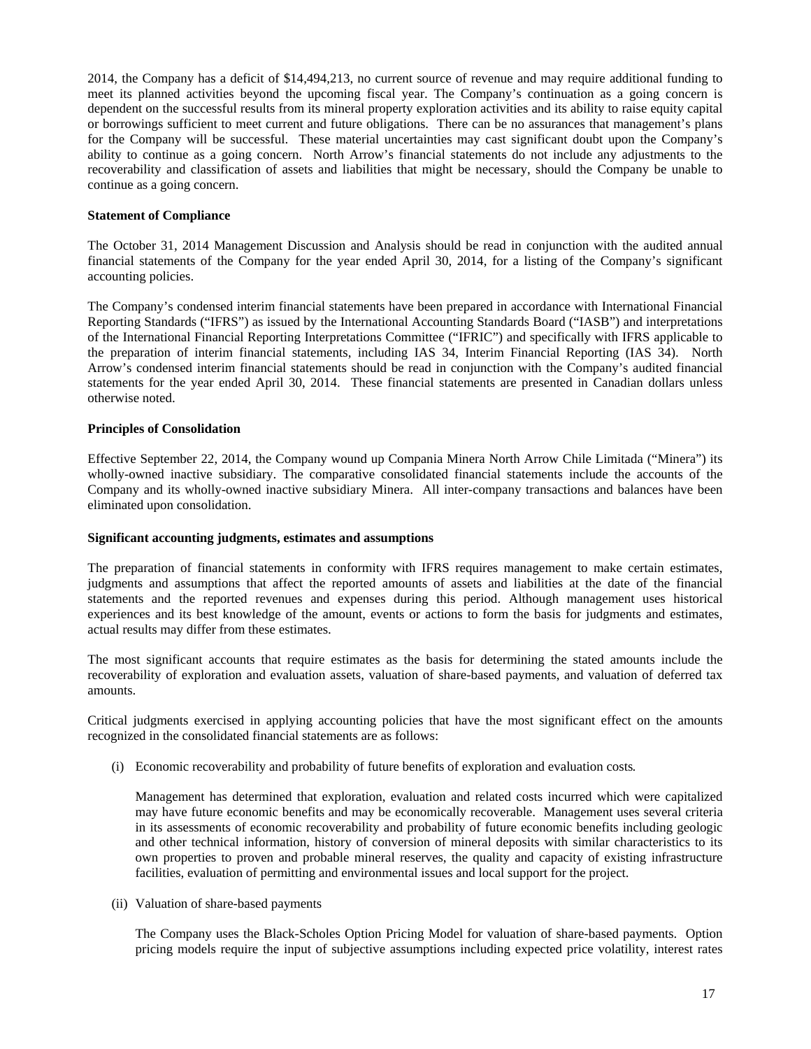2014, the Company has a deficit of \$14,494,213, no current source of revenue and may require additional funding to meet its planned activities beyond the upcoming fiscal year. The Company's continuation as a going concern is dependent on the successful results from its mineral property exploration activities and its ability to raise equity capital or borrowings sufficient to meet current and future obligations. There can be no assurances that management's plans for the Company will be successful. These material uncertainties may cast significant doubt upon the Company's ability to continue as a going concern. North Arrow's financial statements do not include any adjustments to the recoverability and classification of assets and liabilities that might be necessary, should the Company be unable to continue as a going concern.

# **Statement of Compliance**

The October 31, 2014 Management Discussion and Analysis should be read in conjunction with the audited annual financial statements of the Company for the year ended April 30, 2014, for a listing of the Company's significant accounting policies.

The Company's condensed interim financial statements have been prepared in accordance with International Financial Reporting Standards ("IFRS") as issued by the International Accounting Standards Board ("IASB") and interpretations of the International Financial Reporting Interpretations Committee ("IFRIC") and specifically with IFRS applicable to the preparation of interim financial statements, including IAS 34, Interim Financial Reporting (IAS 34). North Arrow's condensed interim financial statements should be read in conjunction with the Company's audited financial statements for the year ended April 30, 2014. These financial statements are presented in Canadian dollars unless otherwise noted.

# **Principles of Consolidation**

Effective September 22, 2014, the Company wound up Compania Minera North Arrow Chile Limitada ("Minera") its wholly-owned inactive subsidiary. The comparative consolidated financial statements include the accounts of the Company and its wholly-owned inactive subsidiary Minera. All inter-company transactions and balances have been eliminated upon consolidation.

### **Significant accounting judgments, estimates and assumptions**

The preparation of financial statements in conformity with IFRS requires management to make certain estimates, judgments and assumptions that affect the reported amounts of assets and liabilities at the date of the financial statements and the reported revenues and expenses during this period. Although management uses historical experiences and its best knowledge of the amount, events or actions to form the basis for judgments and estimates, actual results may differ from these estimates.

The most significant accounts that require estimates as the basis for determining the stated amounts include the recoverability of exploration and evaluation assets, valuation of share-based payments, and valuation of deferred tax amounts.

Critical judgments exercised in applying accounting policies that have the most significant effect on the amounts recognized in the consolidated financial statements are as follows:

(i) Economic recoverability and probability of future benefits of exploration and evaluation costs*.* 

 Management has determined that exploration, evaluation and related costs incurred which were capitalized may have future economic benefits and may be economically recoverable. Management uses several criteria in its assessments of economic recoverability and probability of future economic benefits including geologic and other technical information, history of conversion of mineral deposits with similar characteristics to its own properties to proven and probable mineral reserves, the quality and capacity of existing infrastructure facilities, evaluation of permitting and environmental issues and local support for the project.

(ii) Valuation of share-based payments

The Company uses the Black-Scholes Option Pricing Model for valuation of share-based payments. Option pricing models require the input of subjective assumptions including expected price volatility, interest rates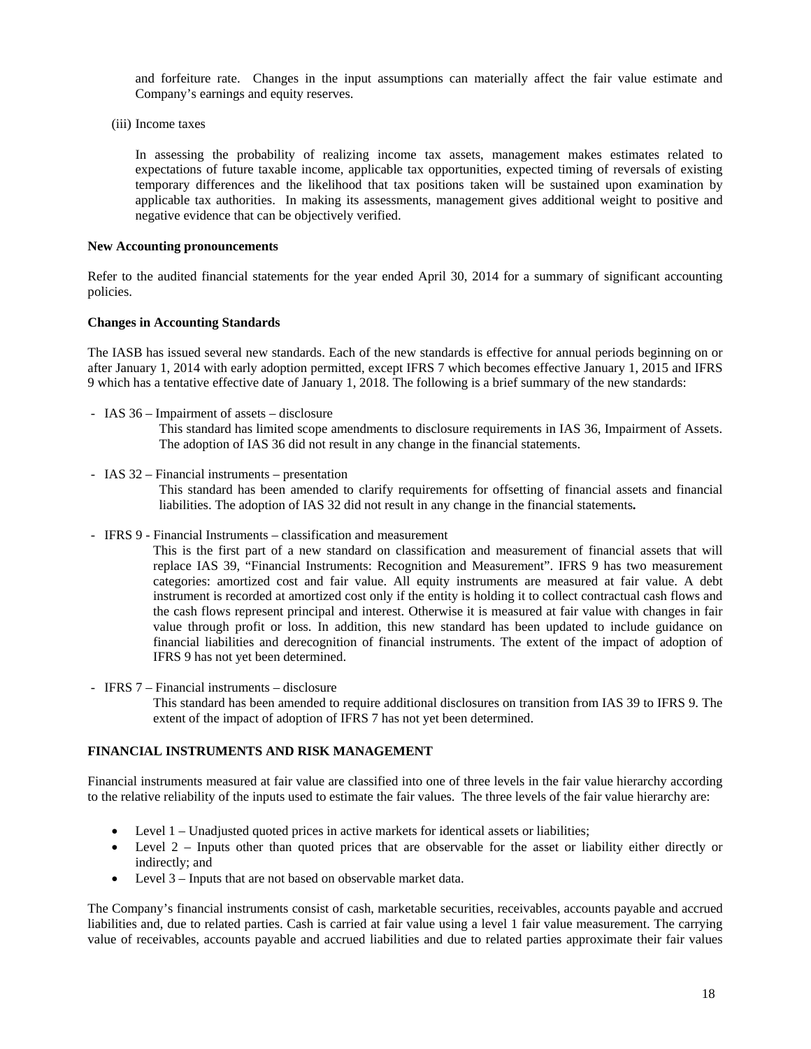and forfeiture rate. Changes in the input assumptions can materially affect the fair value estimate and Company's earnings and equity reserves.

(iii) Income taxes

In assessing the probability of realizing income tax assets, management makes estimates related to expectations of future taxable income, applicable tax opportunities, expected timing of reversals of existing temporary differences and the likelihood that tax positions taken will be sustained upon examination by applicable tax authorities. In making its assessments, management gives additional weight to positive and negative evidence that can be objectively verified.

#### **New Accounting pronouncements**

Refer to the audited financial statements for the year ended April 30, 2014 for a summary of significant accounting policies.

#### **Changes in Accounting Standards**

The IASB has issued several new standards. Each of the new standards is effective for annual periods beginning on or after January 1, 2014 with early adoption permitted, except IFRS 7 which becomes effective January 1, 2015 and IFRS 9 which has a tentative effective date of January 1, 2018. The following is a brief summary of the new standards:

*-* IAS 36 – Impairment of assets – disclosure

This standard has limited scope amendments to disclosure requirements in IAS 36, Impairment of Assets. The adoption of IAS 36 did not result in any change in the financial statements.

*-* IAS 32 – Financial instruments – presentation

This standard has been amended to clarify requirements for offsetting of financial assets and financial liabilities. The adoption of IAS 32 did not result in any change in the financial statements**.** 

*-* IFRS 9 - Financial Instruments – classification and measurement

This is the first part of a new standard on classification and measurement of financial assets that will replace IAS 39, "Financial Instruments: Recognition and Measurement". IFRS 9 has two measurement categories: amortized cost and fair value. All equity instruments are measured at fair value. A debt instrument is recorded at amortized cost only if the entity is holding it to collect contractual cash flows and the cash flows represent principal and interest. Otherwise it is measured at fair value with changes in fair value through profit or loss. In addition, this new standard has been updated to include guidance on financial liabilities and derecognition of financial instruments. The extent of the impact of adoption of IFRS 9 has not yet been determined.

*-* IFRS 7 – Financial instruments – disclosure This standard has been amended to require additional disclosures on transition from IAS 39 to IFRS 9. The extent of the impact of adoption of IFRS 7 has not yet been determined.

### **FINANCIAL INSTRUMENTS AND RISK MANAGEMENT**

Financial instruments measured at fair value are classified into one of three levels in the fair value hierarchy according to the relative reliability of the inputs used to estimate the fair values. The three levels of the fair value hierarchy are:

- Level 1 Unadjusted quoted prices in active markets for identical assets or liabilities;
- Level 2 Inputs other than quoted prices that are observable for the asset or liability either directly or indirectly; and
- Level 3 Inputs that are not based on observable market data.

The Company's financial instruments consist of cash, marketable securities, receivables, accounts payable and accrued liabilities and, due to related parties. Cash is carried at fair value using a level 1 fair value measurement. The carrying value of receivables, accounts payable and accrued liabilities and due to related parties approximate their fair values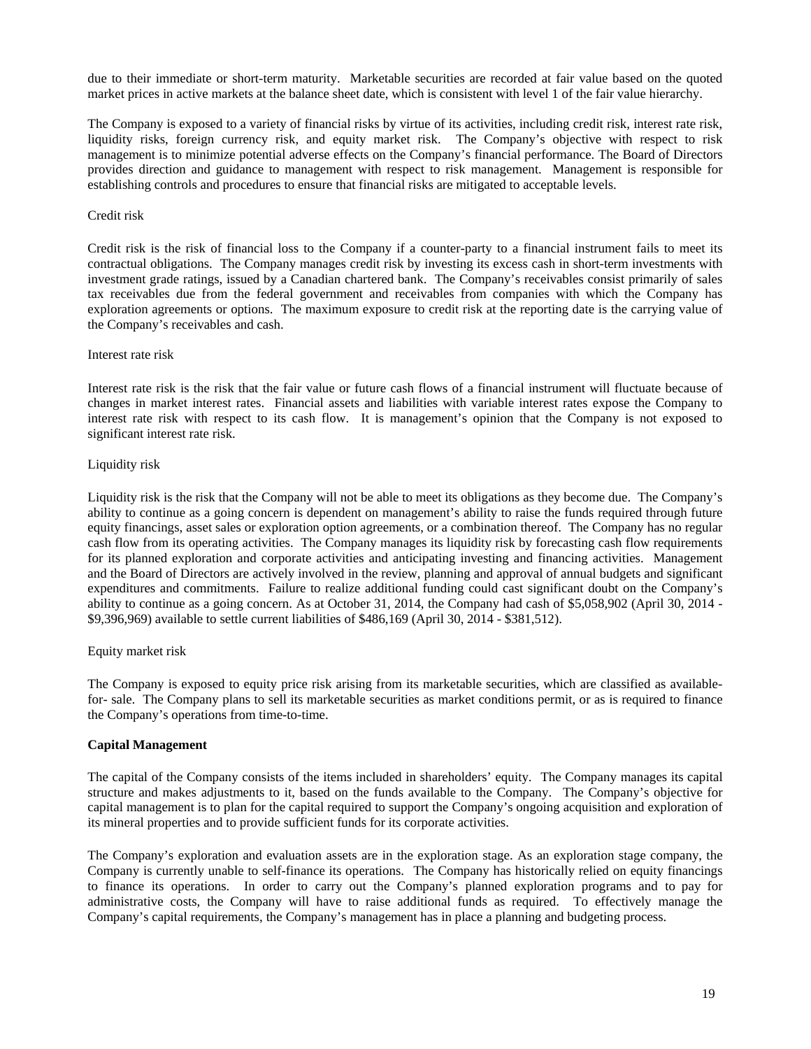due to their immediate or short-term maturity. Marketable securities are recorded at fair value based on the quoted market prices in active markets at the balance sheet date, which is consistent with level 1 of the fair value hierarchy.

The Company is exposed to a variety of financial risks by virtue of its activities, including credit risk, interest rate risk, liquidity risks, foreign currency risk, and equity market risk. The Company's objective with respect to risk management is to minimize potential adverse effects on the Company's financial performance. The Board of Directors provides direction and guidance to management with respect to risk management. Management is responsible for establishing controls and procedures to ensure that financial risks are mitigated to acceptable levels.

### Credit risk

Credit risk is the risk of financial loss to the Company if a counter-party to a financial instrument fails to meet its contractual obligations. The Company manages credit risk by investing its excess cash in short-term investments with investment grade ratings, issued by a Canadian chartered bank. The Company's receivables consist primarily of sales tax receivables due from the federal government and receivables from companies with which the Company has exploration agreements or options. The maximum exposure to credit risk at the reporting date is the carrying value of the Company's receivables and cash.

#### Interest rate risk

Interest rate risk is the risk that the fair value or future cash flows of a financial instrument will fluctuate because of changes in market interest rates. Financial assets and liabilities with variable interest rates expose the Company to interest rate risk with respect to its cash flow. It is management's opinion that the Company is not exposed to significant interest rate risk.

# Liquidity risk

Liquidity risk is the risk that the Company will not be able to meet its obligations as they become due. The Company's ability to continue as a going concern is dependent on management's ability to raise the funds required through future equity financings, asset sales or exploration option agreements, or a combination thereof. The Company has no regular cash flow from its operating activities. The Company manages its liquidity risk by forecasting cash flow requirements for its planned exploration and corporate activities and anticipating investing and financing activities. Management and the Board of Directors are actively involved in the review, planning and approval of annual budgets and significant expenditures and commitments. Failure to realize additional funding could cast significant doubt on the Company's ability to continue as a going concern. As at October 31, 2014, the Company had cash of \$5,058,902 (April 30, 2014 - \$9,396,969) available to settle current liabilities of \$486,169 (April 30, 2014 - \$381,512).

# Equity market risk

The Company is exposed to equity price risk arising from its marketable securities, which are classified as availablefor- sale. The Company plans to sell its marketable securities as market conditions permit, or as is required to finance the Company's operations from time-to-time.

# **Capital Management**

The capital of the Company consists of the items included in shareholders' equity. The Company manages its capital structure and makes adjustments to it, based on the funds available to the Company. The Company's objective for capital management is to plan for the capital required to support the Company's ongoing acquisition and exploration of its mineral properties and to provide sufficient funds for its corporate activities.

The Company's exploration and evaluation assets are in the exploration stage. As an exploration stage company, the Company is currently unable to self-finance its operations. The Company has historically relied on equity financings to finance its operations. In order to carry out the Company's planned exploration programs and to pay for administrative costs, the Company will have to raise additional funds as required. To effectively manage the Company's capital requirements, the Company's management has in place a planning and budgeting process.